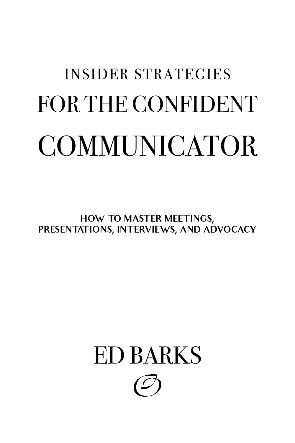# INSIDER STRATEGIES FOR THE CONFIDENT COMMUNICATOR

**HOW TO MASTER MEETINGS, PRESENTATIONS, INTERVIEWS, AND ADVOCACY**

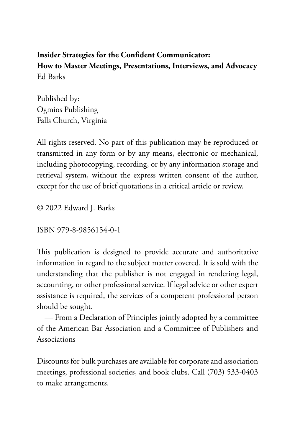**Insider Strategies for the Confident Communicator: How to Master Meetings, Presentations, Interviews, and Advocacy** Ed Barks

Published by: Ogmios Publishing Falls Church, Virginia

All rights reserved. No part of this publication may be reproduced or transmitted in any form or by any means, electronic or mechanical, including photocopying, recording, or by any information storage and retrieval system, without the express written consent of the author, except for the use of brief quotations in a critical article or review.

© 2022 Edward J. Barks

ISBN 979-8-9856154-0-1

This publication is designed to provide accurate and authoritative information in regard to the subject matter covered. It is sold with the understanding that the publisher is not engaged in rendering legal, accounting, or other professional service. If legal advice or other expert assistance is required, the services of a competent professional person should be sought.

 — From a Declaration of Principles jointly adopted by a committee of the American Bar Association and a Committee of Publishers and Associations

Discounts for bulk purchases are available for corporate and association meetings, professional societies, and book clubs. Call (703) 533-0403 to make arrangements.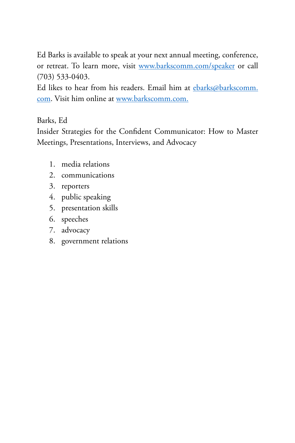Ed Barks is available to speak at your next annual meeting, conference, or retreat. To learn more, visit [www.barkscomm.com/speaker](https://www.barkscomm.com/speaker) or call (703) 533-0403.

Ed likes to hear from his readers. Email him at [ebarks@barkscomm.](mailto:ebarks@barkscomm.com) [com](mailto:ebarks@barkscomm.com). Visit him online at [www.barkscomm.com.](https://www.barkscomm.com)

Barks, Ed

Insider Strategies for the Confident Communicator: How to Master Meetings, Presentations, Interviews, and Advocacy

- 1. media relations
- 2. communications
- 3. reporters
- 4. public speaking
- 5. presentation skills
- 6. speeches
- 7. advocacy
- 8. government relations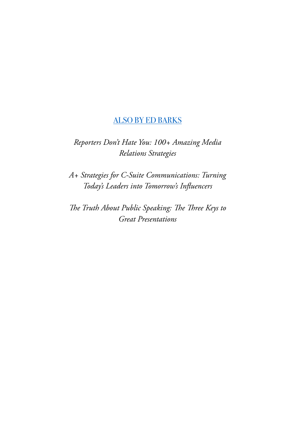# [ALSO BY ED BARKS](https://www.barkscomm.com/eds-books)

*Reporters Don't Hate You: 100+ Amazing Media Relations Strategies*

*A+ Strategies for C-Suite Communications: Turning Today's Leaders into Tomorrow's Influencers*

*The Truth About Public Speaking: The Three Keys to Great Presentations*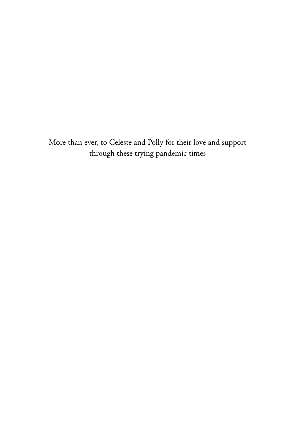More than ever, to Celeste and Polly for their love and support through these trying pandemic times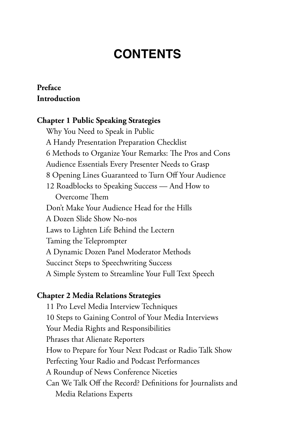# **CONTENTS**

# **[Preface](#page-9-0) [Introduction](#page-13-0)**

### **[Chapter 1](#page-17-0) [Public Speaking Strategies](#page-17-0)**

[Why You Need to Speak in Public](#page-19-0) [A Handy Presentation Preparation Checklist](#page-20-0) [6 Methods to Organize Your Remarks: The Pros and Cons](#page-22-0) [Audience Essentials Every Presenter Needs to Grasp](#page-24-0) [8 Opening Lines Guaranteed to Turn Off Your Audience](#page-25-0) [12 Roadblocks to Speaking Success — And How to](#page-27-0)  [Overcome Them](#page-27-0) [Don't Make Your Audience Head for the Hills](#page-29-0) [A Dozen Slide Show No-nos](#page-31-0) [Laws to Lighten Life Behind the Lectern](#page-33-0) [Taming the Teleprompter](#page-35-0) [A Dynamic Dozen Panel Moderator Methods](#page-37-0) [Succinct Steps to Speechwriting Success](#page-39-0) [A Simple System to Streamline Your Full Text Speech](#page-41-0)

#### **[Chapter 2](#page-43-0) [Media Relations Strategies](#page-43-0)**

[11 Pro Level Media Interview Techniques](#page-44-0) [10 Steps to Gaining Control of Your Media Interviews](#page-46-0) [Your Media Rights and Responsibilities](#page-48-0) [Phrases that Alienate Reporters](#page-49-0) [How to Prepare for Your Next Podcast or Radio Talk Show](#page-52-0) [Perfecting Your Radio and Podcast Performances](#page-54-0) [A Roundup of News Conference Niceties](#page-56-0) [Can We Talk Off the Record? Definitions for Journalists and](#page-58-0)  [Media Relations Experts](#page-58-0)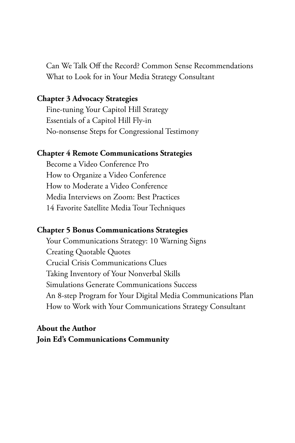[Can We Talk Off the Record? Common Sense Recommendations](#page-60-0) [What to Look for in Your Media Strategy Consultant](#page-62-0)

#### **[Chapter 3](#page-64-0) [Advocacy Strategies](#page-64-0)**

[Fine-tuning Your Capitol Hill Strategy](#page-66-0) [Essentials of a Capitol Hill Fly-in](#page-68-0) [No-nonsense Steps for Congressional Testimony](#page-70-0)

#### **[Chapter 4](#page-72-0) [Remote Communications Strategies](#page-72-0)**

[Become a Video Conference Pro](#page-74-0) [How to Organize a Video Conference](#page-77-0) [How to Moderate a Video Conference](#page-79-0) [Media Interviews on Zoom: Best Practices](#page-81-0) [14 Favorite Satellite Media Tour Techniques](#page-83-0)

#### **[Chapter 5](#page-85-0) [Bonus Communications Strategies](#page-85-0)**

[Your Communications Strategy: 10 Warning Signs](#page-86-0) [Creating Quotable Quotes](#page-88-0) [Crucial Crisis Communications Clues](#page-90-0) [Taking Inventory of Your Nonverbal Skills](#page-92-0) [Simulations Generate Communications Success](#page-94-0) [An 8-step Program for Your Digital Media Communications Plan](#page-96-0) [How to Work with Your Communications Strategy Consultant](#page-98-0)

# **[About the Author](#page-100-0) [Join Ed's Communications Community](#page-102-0)**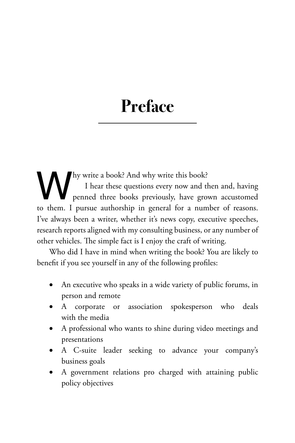# <span id="page-9-0"></span>**Preface**

Why write a book? And why write this book?<br>
I hear these questions every now and the penned three books previously, have gro<br>
to them. I pursue authorship in general for a num I hear these questions every now and then and, having penned three books previously, have grown accustomed to them. I pursue authorship in general for a number of reasons. I've always been a writer, whether it's news copy, executive speeches, research reports aligned with my consulting business, or any number of other vehicles. The simple fact is I enjoy the craft of writing.

Who did I have in mind when writing the book? You are likely to benefit if you see yourself in any of the following profiles:

- An executive who speaks in a wide variety of public forums, in person and remote
- A corporate or association spokesperson who deals with the media
- A professional who wants to shine during video meetings and presentations
- A C-suite leader seeking to advance your company's business goals
- A government relations pro charged with attaining public policy objectives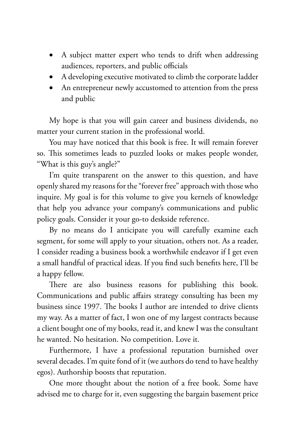- A subject matter expert who tends to drift when addressing audiences, reporters, and public officials
- A developing executive motivated to climb the corporate ladder
- An entrepreneur newly accustomed to attention from the press and public

My hope is that you will gain career and business dividends, no matter your current station in the professional world.

You may have noticed that this book is free. It will remain forever so. This sometimes leads to puzzled looks or makes people wonder, "What is this guy's angle?"

I'm quite transparent on the answer to this question, and have openly shared my reasons for the "forever free" approach with those who inquire. My goal is for this volume to give you kernels of knowledge that help you advance your company's communications and public policy goals. Consider it your go-to deskside reference.

By no means do I anticipate you will carefully examine each segment, for some will apply to your situation, others not. As a reader, I consider reading a business book a worthwhile endeavor if I get even a small handful of practical ideas. If you find such benefits here, I'll be a happy fellow.

There are also business reasons for publishing this book. Communications and public affairs strategy consulting has been my business since 1997. The books I author are intended to drive clients my way. As a matter of fact, I won one of my largest contracts because a client bought one of my books, read it, and knew I was the consultant he wanted. No hesitation. No competition. Love it.

Furthermore, I have a professional reputation burnished over several decades. I'm quite fond of it (we authors do tend to have healthy egos). Authorship boosts that reputation.

One more thought about the notion of a free book. Some have advised me to charge for it, even suggesting the bargain basement price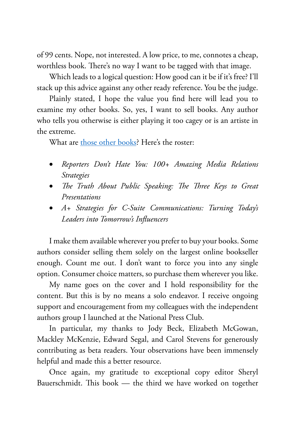of 99 cents. Nope, not interested. A low price, to me, connotes a cheap, worthless book. There's no way I want to be tagged with that image.

Which leads to a logical question: How good can it be if it's free? I'll stack up this advice against any other ready reference. You be the judge.

Plainly stated, I hope the value you find here will lead you to examine my other books. So, yes, I want to sell books. Any author who tells you otherwise is either playing it too cagey or is an artiste in the extreme.

What are [those other books?](https://www.barkscomm.com/eds-books) Here's the roster:

- • *Reporters Don't Hate You: 100+ Amazing Media Relations Strategies*
- • *The Truth About Public Speaking: The Three Keys to Great Presentations*
- • *A+ Strategies for C-Suite Communications: Turning Today's Leaders into Tomorrow's Influencers*

I make them available wherever you prefer to buy your books. Some authors consider selling them solely on the largest online bookseller enough. Count me out. I don't want to force you into any single option. Consumer choice matters, so purchase them wherever you like.

My name goes on the cover and I hold responsibility for the content. But this is by no means a solo endeavor. I receive ongoing support and encouragement from my colleagues with the independent authors group I launched at the National Press Club.

In particular, my thanks to Jody Beck, Elizabeth McGowan, Mackley McKenzie, Edward Segal, and Carol Stevens for generously contributing as beta readers. Your observations have been immensely helpful and made this a better resource.

Once again, my gratitude to exceptional copy editor Sheryl Bauerschmidt. This book — the third we have worked on together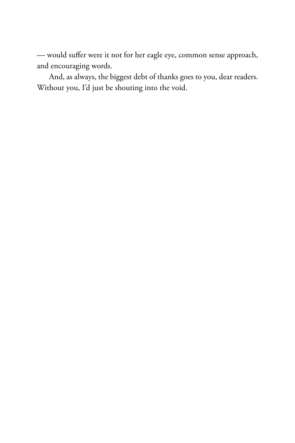— would suffer were it not for her eagle eye, common sense approach, and encouraging words.

And, as always, the biggest debt of thanks goes to you, dear readers. Without you, I'd just be shouting into the void.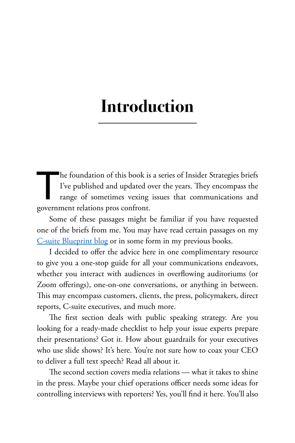# <span id="page-13-0"></span>**Introduction**

The foundation of this book is a series of Insider Strategies briefs<br>I've published and updated over the years. They encompass the<br>range of sometimes vexing issues that communications and<br>government relations pros confront I've published and updated over the years. They encompass the range of sometimes vexing issues that communications and government relations pros confront.

Some of these passages might be familiar if you have requested one of the briefs from me. You may have read certain passages on my [C-suite Blueprint blog](http://bit.ly/CsuiteBlueprint) or in some form in my previous books.

I decided to offer the advice here in one complimentary resource to give you a one-stop guide for all your communications endeavors, whether you interact with audiences in overflowing auditoriums (or Zoom offerings), one-on-one conversations, or anything in between. This may encompass customers, clients, the press, policymakers, direct reports, C-suite executives, and much more.

The first section deals with public speaking strategy. Are you looking for a ready-made checklist to help your issue experts prepare their presentations? Got it. How about guardrails for your executives who use slide shows? It's here. You're not sure how to coax your CEO to deliver a full text speech? Read all about it.

The second section covers media relations — what it takes to shine in the press. Maybe your chief operations officer needs some ideas for controlling interviews with reporters? Yes, you'll find it here. You'll also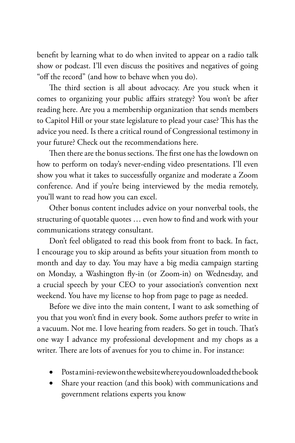benefit by learning what to do when invited to appear on a radio talk show or podcast. I'll even discuss the positives and negatives of going "off the record" (and how to behave when you do).

The third section is all about advocacy. Are you stuck when it comes to organizing your public affairs strategy? You won't be after reading here. Are you a membership organization that sends members to Capitol Hill or your state legislature to plead your case? This has the advice you need. Is there a critical round of Congressional testimony in your future? Check out the recommendations here.

Then there are the bonus sections. The first one has the lowdown on how to perform on today's never-ending video presentations. I'll even show you what it takes to successfully organize and moderate a Zoom conference. And if you're being interviewed by the media remotely, you'll want to read how you can excel.

Other bonus content includes advice on your nonverbal tools, the structuring of quotable quotes … even how to find and work with your communications strategy consultant.

Don't feel obligated to read this book from front to back. In fact, I encourage you to skip around as befits your situation from month to month and day to day. You may have a big media campaign starting on Monday, a Washington fly-in (or Zoom-in) on Wednesday, and a crucial speech by your CEO to your association's convention next weekend. You have my license to hop from page to page as needed.

Before we dive into the main content, I want to ask something of you that you won't find in every book. Some authors prefer to write in a vacuum. Not me. I love hearing from readers. So get in touch. That's one way I advance my professional development and my chops as a writer. There are lots of avenues for you to chime in. For instance:

- Postamini-review on the website where you downloaded the book
- Share your reaction (and this book) with communications and government relations experts you know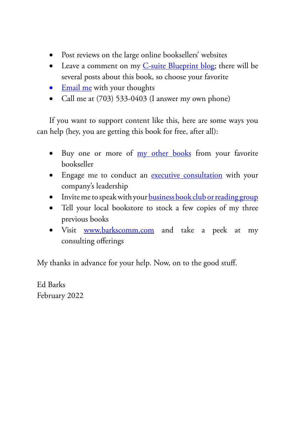- Post reviews on the large online booksellers' websites
- Leave a comment on my [C-suite Blueprint blog;](http://bit.ly/CsuiteBlueprint) there will be several posts about this book, so choose your favorite
- [Email me](mailto:ebarks@barkscomm.com) with your thoughts
- Call me at  $(703)$  533-0403 (I answer my own phone)

If you want to support content like this, here are some ways you can help (hey, you are getting this book for free, after all):

- Buy one or more of [my other books](https://www.barkscomm.com/eds-books) from your favorite bookseller
- Engage me to conduct an [executive consultation](https://www.barkscomm.com/executive-consultation) with your company's leadership
- Invite me to speak with your **business book club or reading group**
- Tell your local bookstore to stock a few copies of my three previous books
- Visit [www.barkscomm.com](https://www.barkscomm.com) and take a peek at my consulting offerings

My thanks in advance for your help. Now, on to the good stuff.

Ed Barks February 2022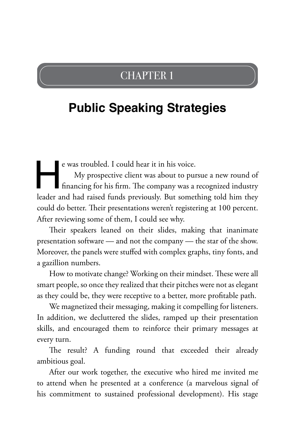# CHAPTER 1

# <span id="page-17-0"></span>**Public Speaking Strategies**

e was troubled. I could hear it in his voice.<br>My prospective client was about to pursue a new round of<br>financing for his firm. The company was a recognized industry<br>leader and had raised funds previously. But something tol My prospective client was about to pursue a new round of financing for his firm. The company was a recognized industry could do better. Their presentations weren't registering at 100 percent. After reviewing some of them, I could see why.

Their speakers leaned on their slides, making that inanimate presentation software — and not the company — the star of the show. Moreover, the panels were stuffed with complex graphs, tiny fonts, and a gazillion numbers.

How to motivate change? Working on their mindset. These were all smart people, so once they realized that their pitches were not as elegant as they could be, they were receptive to a better, more profitable path.

We magnetized their messaging, making it compelling for listeners. In addition, we decluttered the slides, ramped up their presentation skills, and encouraged them to reinforce their primary messages at every turn.

The result? A funding round that exceeded their already ambitious goal.

After our work together, the executive who hired me invited me to attend when he presented at a conference (a marvelous signal of his commitment to sustained professional development). His stage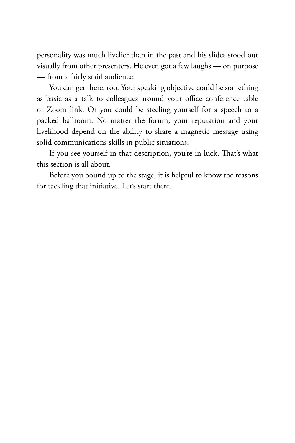personality was much livelier than in the past and his slides stood out visually from other presenters. He even got a few laughs — on purpose — from a fairly staid audience.

You can get there, too. Your speaking objective could be something as basic as a talk to colleagues around your office conference table or Zoom link. Or you could be steeling yourself for a speech to a packed ballroom. No matter the forum, your reputation and your livelihood depend on the ability to share a magnetic message using solid communications skills in public situations.

If you see yourself in that description, you're in luck. That's what this section is all about.

Before you bound up to the stage, it is helpful to know the reasons for tackling that initiative. Let's start there.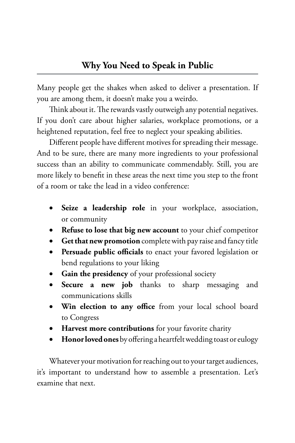<span id="page-19-0"></span>Many people get the shakes when asked to deliver a presentation. If you are among them, it doesn't make you a weirdo.

Think about it. The rewards vastly outweigh any potential negatives. If you don't care about higher salaries, workplace promotions, or a heightened reputation, feel free to neglect your speaking abilities.

Different people have different motives for spreading their message. And to be sure, there are many more ingredients to your professional success than an ability to communicate commendably. Still, you are more likely to benefit in these areas the next time you step to the front of a room or take the lead in a video conference:

- • **Seize a leadership role** in your workplace, association, or community
- • **Refuse to lose that big new account** to your chief competitor
- • **Get that new promotion** complete with pay raise and fancy title
- • **Persuade public officials** to enact your favored legislation or bend regulations to your liking
- • **Gain the presidency** of your professional society
- • **Secure a new job** thanks to sharp messaging and communications skills
- • **Win election to any office** from your local school board to Congress
- • **Harvest more contributions** for your favorite charity
- • **Honor loved ones** by offering a heartfelt wedding toast or eulogy

Whatever your motivation for reaching out to your target audiences, it's important to understand how to assemble a presentation. Let's examine that next.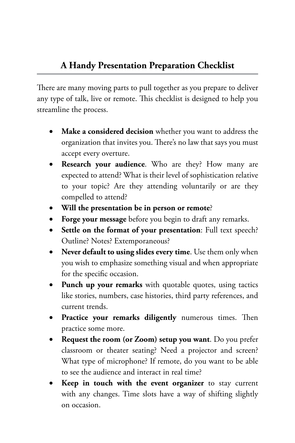<span id="page-20-0"></span>There are many moving parts to pull together as you prepare to deliver any type of talk, live or remote. This checklist is designed to help you streamline the process.

- Make a considered decision whether you want to address the organization that invites you. There's no law that says you must accept every overture.
- • **Research your audience**. Who are they? How many are expected to attend? What is their level of sophistication relative to your topic? Are they attending voluntarily or are they compelled to attend?
- • **Will the presentation be in person or remote**?
- • **Forge your message** before you begin to draft any remarks.
- • **Settle on the format of your presentation**: Full text speech? Outline? Notes? Extemporaneous?
- • **Never default to using slides every time**. Use them only when you wish to emphasize something visual and when appropriate for the specific occasion.
- • **Punch up your remarks** with quotable quotes, using tactics like stories, numbers, case histories, third party references, and current trends.
- Practice your remarks diligently numerous times. Then practice some more.
- **Request the room (or Zoom) setup you want**. Do you prefer classroom or theater seating? Need a projector and screen? What type of microphone? If remote, do you want to be able to see the audience and interact in real time?
- **Keep in touch with the event organizer** to stay current with any changes. Time slots have a way of shifting slightly on occasion.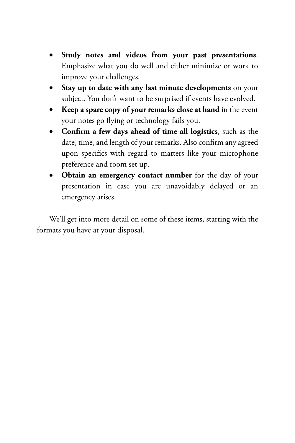- • **Study notes and videos from your past presentations**. Emphasize what you do well and either minimize or work to improve your challenges.
- • **Stay up to date with any last minute developments** on your subject. You don't want to be surprised if events have evolved.
- • **Keep a spare copy of your remarks close at hand** in the event your notes go flying or technology fails you.
- • **Confirm a few days ahead of time all logistics**, such as the date, time, and length of your remarks. Also confirm any agreed upon specifics with regard to matters like your microphone preference and room set up.
- **Obtain an emergency contact number** for the day of your presentation in case you are unavoidably delayed or an emergency arises.

We'll get into more detail on some of these items, starting with the formats you have at your disposal.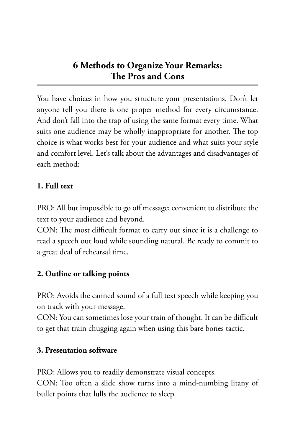<span id="page-22-0"></span>You have choices in how you structure your presentations. Don't let anyone tell you there is one proper method for every circumstance. And don't fall into the trap of using the same format every time. What suits one audience may be wholly inappropriate for another. The top choice is what works best for your audience and what suits your style and comfort level. Let's talk about the advantages and disadvantages of each method:

# **1. Full text**

PRO: All but impossible to go off message; convenient to distribute the text to your audience and beyond.

CON: The most difficult format to carry out since it is a challenge to read a speech out loud while sounding natural. Be ready to commit to a great deal of rehearsal time.

# **2. Outline or talking points**

PRO: Avoids the canned sound of a full text speech while keeping you on track with your message.

CON: You can sometimes lose your train of thought. It can be difficult to get that train chugging again when using this bare bones tactic.

# **3. Presentation software**

PRO: Allows you to readily demonstrate visual concepts. CON: Too often a slide show turns into a mind-numbing litany of bullet points that lulls the audience to sleep.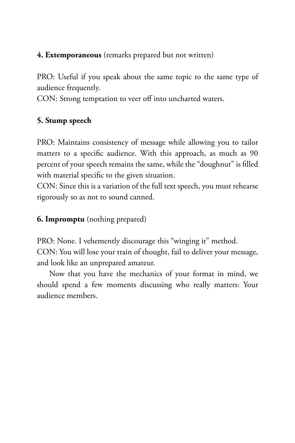# **4. Extemporaneous** (remarks prepared but not written)

PRO: Useful if you speak about the same topic to the same type of audience frequently.

CON: Strong temptation to veer off into uncharted waters.

# **5. Stump speech**

PRO: Maintains consistency of message while allowing you to tailor matters to a specific audience. With this approach, as much as 90 percent of your speech remains the same, while the "doughnut" is filled with material specific to the given situation.

CON: Since this is a variation of the full text speech, you must rehearse rigorously so as not to sound canned.

# **6. Impromptu** (nothing prepared)

PRO: None. I vehemently discourage this "winging it" method. CON: You will lose your train of thought, fail to deliver your message, and look like an unprepared amateur.

Now that you have the mechanics of your format in mind, we should spend a few moments discussing who really matters: Your audience members.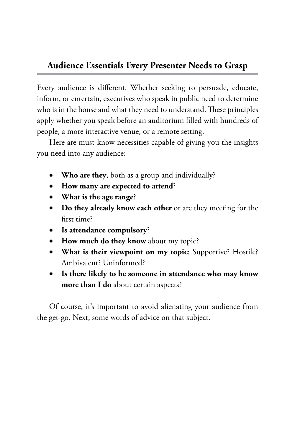# <span id="page-24-0"></span>**Audience Essentials Every Presenter Needs to Grasp**

Every audience is different. Whether seeking to persuade, educate, inform, or entertain, executives who speak in public need to determine who is in the house and what they need to understand. These principles apply whether you speak before an auditorium filled with hundreds of people, a more interactive venue, or a remote setting.

Here are must-know necessities capable of giving you the insights you need into any audience:

- Who are they, both as a group and individually?
- • **How many are expected to attend**?
- • **What is the age range**?
- • **Do they already know each other** or are they meeting for the first time?
- • **Is attendance compulsory**?
- • **How much do they know** about my topic?
- • **What is their viewpoint on my topic**: Supportive? Hostile? Ambivalent? Uninformed?
- • **Is there likely to be someone in attendance who may know more than I do** about certain aspects?

Of course, it's important to avoid alienating your audience from the get-go. Next, some words of advice on that subject.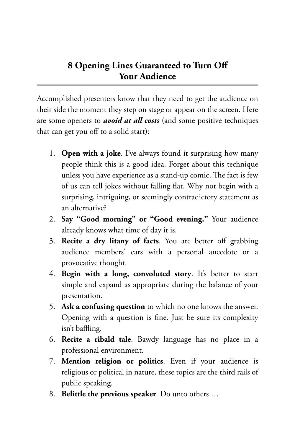# <span id="page-25-0"></span>**8 Opening Lines Guaranteed to Turn Off Your Audience**

Accomplished presenters know that they need to get the audience on their side the moment they step on stage or appear on the screen. Here are some openers to *avoid at all costs* (and some positive techniques that can get you off to a solid start):

- 1. **Open with a joke**. I've always found it surprising how many people think this is a good idea. Forget about this technique unless you have experience as a stand-up comic. The fact is few of us can tell jokes without falling flat. Why not begin with a surprising, intriguing, or seemingly contradictory statement as an alternative?
- 2. **Say "Good morning" or "Good evening."** Your audience already knows what time of day it is.
- 3. **Recite a dry litany of facts**. You are better off grabbing audience members' ears with a personal anecdote or a provocative thought.
- 4. **Begin with a long, convoluted story**. It's better to start simple and expand as appropriate during the balance of your presentation.
- 5. **Ask a confusing question** to which no one knows the answer. Opening with a question is fine. Just be sure its complexity isn't baffling.
- 6. **Recite a ribald tale**. Bawdy language has no place in a professional environment.
- 7. **Mention religion or politics**. Even if your audience is religious or political in nature, these topics are the third rails of public speaking.
- 8. **Belittle the previous speaker**. Do unto others …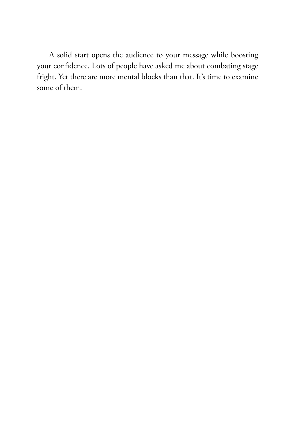A solid start opens the audience to your message while boosting your confidence. Lots of people have asked me about combating stage fright. Yet there are more mental blocks than that. It's time to examine some of them.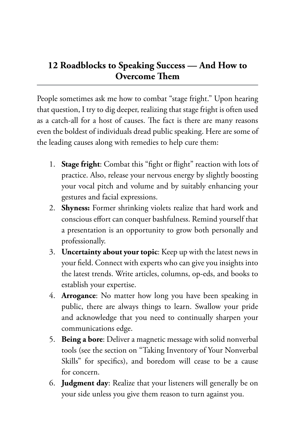# <span id="page-27-0"></span>**12 Roadblocks to Speaking Success — And How to Overcome Them**

People sometimes ask me how to combat "stage fright." Upon hearing that question, I try to dig deeper, realizing that stage fright is often used as a catch-all for a host of causes. The fact is there are many reasons even the boldest of individuals dread public speaking. Here are some of the leading causes along with remedies to help cure them:

- 1. **Stage fright**: Combat this "fight or flight" reaction with lots of practice. Also, release your nervous energy by slightly boosting your vocal pitch and volume and by suitably enhancing your gestures and facial expressions.
- 2. **Shyness:** Former shrinking violets realize that hard work and conscious effort can conquer bashfulness. Remind yourself that a presentation is an opportunity to grow both personally and professionally.
- 3. **Uncertainty about your topic**: Keep up with the latest news in your field. Connect with experts who can give you insights into the latest trends. Write articles, columns, op-eds, and books to establish your expertise.
- 4. **Arrogance**: No matter how long you have been speaking in public, there are always things to learn. Swallow your pride and acknowledge that you need to continually sharpen your communications edge.
- 5. **Being a bore**: Deliver a magnetic message with solid nonverbal tools (see the section on "Taking Inventory of Your Nonverbal Skills" for specifics), and boredom will cease to be a cause for concern.
- 6. **Judgment day**: Realize that your listeners will generally be on your side unless you give them reason to turn against you.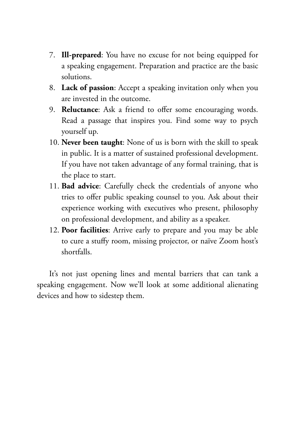- 7. **Ill-prepared**: You have no excuse for not being equipped for a speaking engagement. Preparation and practice are the basic solutions.
- 8. **Lack of passion**: Accept a speaking invitation only when you are invested in the outcome.
- 9. **Reluctance**: Ask a friend to offer some encouraging words. Read a passage that inspires you. Find some way to psych yourself up.
- 10. **Never been taught**: None of us is born with the skill to speak in public. It is a matter of sustained professional development. If you have not taken advantage of any formal training, that is the place to start.
- 11. **Bad advice**: Carefully check the credentials of anyone who tries to offer public speaking counsel to you. Ask about their experience working with executives who present, philosophy on professional development, and ability as a speaker.
- 12. **Poor facilities**: Arrive early to prepare and you may be able to cure a stuffy room, missing projector, or naïve Zoom host's shortfalls.

It's not just opening lines and mental barriers that can tank a speaking engagement. Now we'll look at some additional alienating devices and how to sidestep them.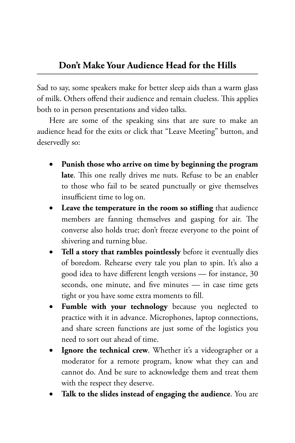<span id="page-29-0"></span>Sad to say, some speakers make for better sleep aids than a warm glass of milk. Others offend their audience and remain clueless. This applies both to in person presentations and video talks.

Here are some of the speaking sins that are sure to make an audience head for the exits or click that "Leave Meeting" button, and deservedly so:

- Punish those who arrive on time by beginning the program **late**. This one really drives me nuts. Refuse to be an enabler to those who fail to be seated punctually or give themselves insufficient time to log on.
- • **Leave the temperature in the room so stifling** that audience members are fanning themselves and gasping for air. The converse also holds true; don't freeze everyone to the point of shivering and turning blue.
- Tell a story that rambles pointlessly before it eventually dies of boredom. Rehearse every tale you plan to spin. It's also a good idea to have different length versions — for instance, 30 seconds, one minute, and five minutes — in case time gets tight or you have some extra moments to fill.
- **Fumble with your technology** because you neglected to practice with it in advance. Microphones, laptop connections, and share screen functions are just some of the logistics you need to sort out ahead of time.
- **Ignore the technical crew**. Whether it's a videographer or a moderator for a remote program, know what they can and cannot do. And be sure to acknowledge them and treat them with the respect they deserve.
- Talk to the slides instead of engaging the audience. You are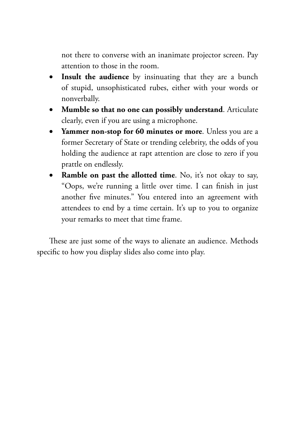not there to converse with an inanimate projector screen. Pay attention to those in the room.

- • **Insult the audience** by insinuating that they are a bunch of stupid, unsophisticated rubes, either with your words or nonverbally.
- **Mumble so that no one can possibly understand**. Articulate clearly, even if you are using a microphone.
- • **Yammer non-stop for 60 minutes or more**. Unless you are a former Secretary of State or trending celebrity, the odds of you holding the audience at rapt attention are close to zero if you prattle on endlessly.
- **Ramble on past the allotted time**. No, it's not okay to say, "Oops, we're running a little over time. I can finish in just another five minutes." You entered into an agreement with attendees to end by a time certain. It's up to you to organize your remarks to meet that time frame.

These are just some of the ways to alienate an audience. Methods specific to how you display slides also come into play.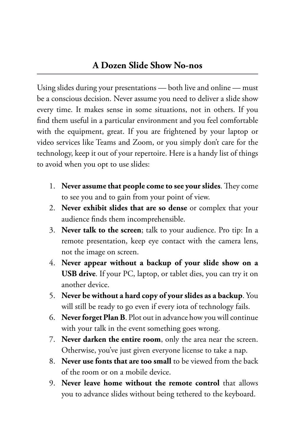<span id="page-31-0"></span>Using slides during your presentations — both live and online — must be a conscious decision. Never assume you need to deliver a slide show every time. It makes sense in some situations, not in others. If you find them useful in a particular environment and you feel comfortable with the equipment, great. If you are frightened by your laptop or video services like Teams and Zoom, or you simply don't care for the technology, keep it out of your repertoire. Here is a handy list of things to avoid when you opt to use slides:

- 1. **Never assume that people come to see your slides**. They come to see you and to gain from your point of view.
- 2. **Never exhibit slides that are so dense** or complex that your audience finds them incomprehensible.
- 3. **Never talk to the screen**; talk to your audience. Pro tip: In a remote presentation, keep eye contact with the camera lens, not the image on screen.
- 4. **Never appear without a backup of your slide show on a USB drive**. If your PC, laptop, or tablet dies, you can try it on another device.
- 5. **Never be without a hard copy of your slides as a backup**. You will still be ready to go even if every iota of technology fails.
- 6. **Never forget Plan B**. Plot out in advance how you will continue with your talk in the event something goes wrong.
- 7. **Never darken the entire room**, only the area near the screen. Otherwise, you've just given everyone license to take a nap.
- 8. **Never use fonts that are too small** to be viewed from the back of the room or on a mobile device.
- 9. **Never leave home without the remote control** that allows you to advance slides without being tethered to the keyboard.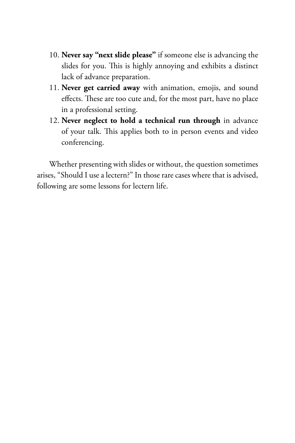- 10. **Never say "next slide please"** if someone else is advancing the slides for you. This is highly annoying and exhibits a distinct lack of advance preparation.
- 11. **Never get carried away** with animation, emojis, and sound effects. These are too cute and, for the most part, have no place in a professional setting.
- 12. **Never neglect to hold a technical run through** in advance of your talk. This applies both to in person events and video conferencing.

Whether presenting with slides or without, the question sometimes arises, "Should I use a lectern?" In those rare cases where that is advised, following are some lessons for lectern life.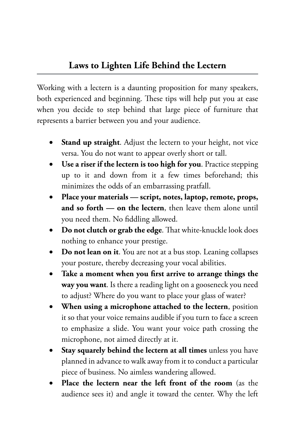<span id="page-33-0"></span>Working with a lectern is a daunting proposition for many speakers, both experienced and beginning. These tips will help put you at ease when you decide to step behind that large piece of furniture that represents a barrier between you and your audience.

- **Stand up straight.** Adjust the lectern to your height, not vice versa. You do not want to appear overly short or tall.
- Use a riser if the lectern is too high for you. Practice stepping up to it and down from it a few times beforehand; this minimizes the odds of an embarrassing pratfall.
- Place your materials script, notes, laptop, remote, props, **and so forth — on the lectern**, then leave them alone until you need them. No fiddling allowed.
- • **Do not clutch or grab the edge**. That white-knuckle look does nothing to enhance your prestige.
- Do not lean on it. You are not at a bus stop. Leaning collapses your posture, thereby decreasing your vocal abilities.
- Take a moment when you first arrive to arrange things the **way you want**. Is there a reading light on a gooseneck you need to adjust? Where do you want to place your glass of water?
- **When using a microphone attached to the lectern**, position it so that your voice remains audible if you turn to face a screen to emphasize a slide. You want your voice path crossing the microphone, not aimed directly at it.
- **Stay squarely behind the lectern at all times** unless you have planned in advance to walk away from it to conduct a particular piece of business. No aimless wandering allowed.
- Place the lectern near the left front of the room (as the audience sees it) and angle it toward the center. Why the left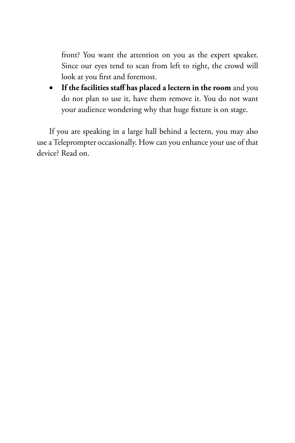front? You want the attention on you as the expert speaker. Since our eyes tend to scan from left to right, the crowd will look at you first and foremost.

• **If the facilities staff has placed a lectern in the room** and you do not plan to use it, have them remove it. You do not want your audience wondering why that huge fixture is on stage.

If you are speaking in a large hall behind a lectern, you may also use a Teleprompter occasionally. How can you enhance your use of that device? Read on.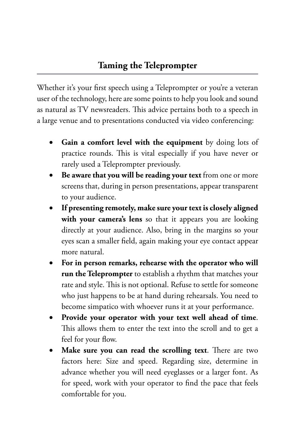<span id="page-35-0"></span>Whether it's your first speech using a Teleprompter or you're a veteran user of the technology, here are some points to help you look and sound as natural as TV newsreaders. This advice pertains both to a speech in a large venue and to presentations conducted via video conferencing:

- **Gain a comfort level with the equipment** by doing lots of practice rounds. This is vital especially if you have never or rarely used a Teleprompter previously.
- Be aware that you will be reading your text from one or more screens that, during in person presentations, appear transparent to your audience.
- If presenting remotely, make sure your text is closely aligned with your camera's lens so that it appears you are looking directly at your audience. Also, bring in the margins so your eyes scan a smaller field, again making your eye contact appear more natural.
- • **For in person remarks, rehearse with the operator who will run the Teleprompter** to establish a rhythm that matches your rate and style. This is not optional. Refuse to settle for someone who just happens to be at hand during rehearsals. You need to become simpatico with whoever runs it at your performance.
- Provide your operator with your text well ahead of time. This allows them to enter the text into the scroll and to get a feel for your flow.
- Make sure you can read the scrolling text. There are two factors here: Size and speed. Regarding size, determine in advance whether you will need eyeglasses or a larger font. As for speed, work with your operator to find the pace that feels comfortable for you.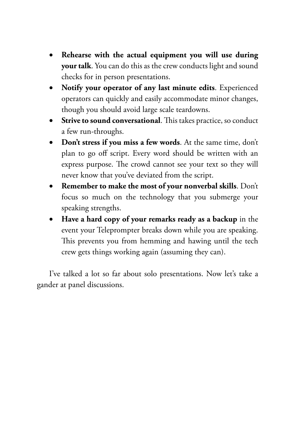- Rehearse with the actual equipment you will use during **your talk**. You can do this as the crew conducts light and sound checks for in person presentations.
- • **Notify your operator of any last minute edits**. Experienced operators can quickly and easily accommodate minor changes, though you should avoid large scale teardowns.
- **•** Strive to sound conversational. This takes practice, so conduct a few run-throughs.
- • **Don't stress if you miss a few words**. At the same time, don't plan to go off script. Every word should be written with an express purpose. The crowd cannot see your text so they will never know that you've deviated from the script.
- • **Remember to make the most of your nonverbal skills**. Don't focus so much on the technology that you submerge your speaking strengths.
- • **Have a hard copy of your remarks ready as a backup** in the event your Teleprompter breaks down while you are speaking. This prevents you from hemming and hawing until the tech crew gets things working again (assuming they can).

I've talked a lot so far about solo presentations. Now let's take a gander at panel discussions.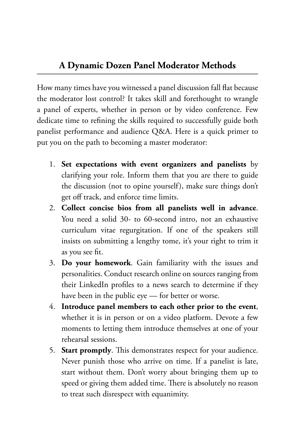How many times have you witnessed a panel discussion fall flat because the moderator lost control? It takes skill and forethought to wrangle a panel of experts, whether in person or by video conference. Few dedicate time to refining the skills required to successfully guide both panelist performance and audience Q&A. Here is a quick primer to put you on the path to becoming a master moderator:

- 1. **Set expectations with event organizers and panelists** by clarifying your role. Inform them that you are there to guide the discussion (not to opine yourself), make sure things don't get off track, and enforce time limits.
- 2. **Collect concise bios from all panelists well in advance**. You need a solid 30- to 60-second intro, not an exhaustive curriculum vitae regurgitation. If one of the speakers still insists on submitting a lengthy tome, it's your right to trim it as you see fit.
- 3. **Do your homework**. Gain familiarity with the issues and personalities. Conduct research online on sources ranging from their LinkedIn profiles to a news search to determine if they have been in the public eye — for better or worse.
- 4. **Introduce panel members to each other prior to the event**, whether it is in person or on a video platform. Devote a few moments to letting them introduce themselves at one of your rehearsal sessions.
- 5. **Start promptly**. This demonstrates respect for your audience. Never punish those who arrive on time. If a panelist is late, start without them. Don't worry about bringing them up to speed or giving them added time. There is absolutely no reason to treat such disrespect with equanimity.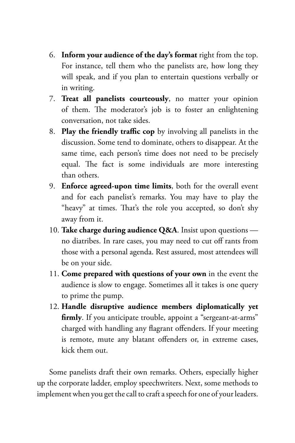- 6. **Inform your audience of the day's format** right from the top. For instance, tell them who the panelists are, how long they will speak, and if you plan to entertain questions verbally or in writing.
- 7. **Treat all panelists courteously**, no matter your opinion of them. The moderator's job is to foster an enlightening conversation, not take sides.
- 8. **Play the friendly traffic cop** by involving all panelists in the discussion. Some tend to dominate, others to disappear. At the same time, each person's time does not need to be precisely equal. The fact is some individuals are more interesting than others.
- 9. **Enforce agreed-upon time limits**, both for the overall event and for each panelist's remarks. You may have to play the "heavy" at times. That's the role you accepted, so don't shy away from it.
- 10. **Take charge during audience Q&A**. Insist upon questions no diatribes. In rare cases, you may need to cut off rants from those with a personal agenda. Rest assured, most attendees will be on your side.
- 11. **Come prepared with questions of your own** in the event the audience is slow to engage. Sometimes all it takes is one query to prime the pump.
- 12. **Handle disruptive audience members diplomatically yet firmly**. If you anticipate trouble, appoint a "sergeant-at-arms" charged with handling any flagrant offenders. If your meeting is remote, mute any blatant offenders or, in extreme cases, kick them out.

Some panelists draft their own remarks. Others, especially higher up the corporate ladder, employ speechwriters. Next, some methods to implement when you get the call to craft a speech for one of your leaders.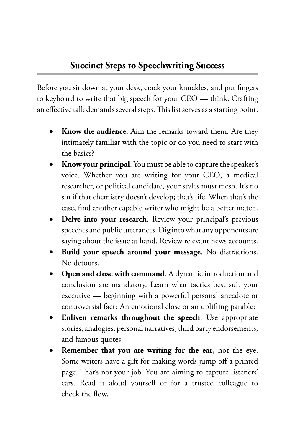Before you sit down at your desk, crack your knuckles, and put fingers to keyboard to write that big speech for your CEO — think. Crafting an effective talk demands several steps. This list serves as a starting point.

- Know the audience. Aim the remarks toward them. Are they intimately familiar with the topic or do you need to start with the basics?
- **Know your principal**. You must be able to capture the speaker's voice. Whether you are writing for your CEO, a medical researcher, or political candidate, your styles must mesh. It's no sin if that chemistry doesn't develop; that's life. When that's the case, find another capable writer who might be a better match.
- Delve into your research. Review your principal's previous speeches and public utterances. Dig into what any opponents are saying about the issue at hand. Review relevant news accounts.
- Build your speech around your message. No distractions. No detours.
- **Open and close with command**. A dynamic introduction and conclusion are mandatory. Learn what tactics best suit your executive — beginning with a powerful personal anecdote or controversial fact? An emotional close or an uplifting parable?
- **Enliven remarks throughout the speech**. Use appropriate stories, analogies, personal narratives, third party endorsements, and famous quotes.
- **Remember that you are writing for the ear**, not the eye. Some writers have a gift for making words jump off a printed page. That's not your job. You are aiming to capture listeners' ears. Read it aloud yourself or for a trusted colleague to check the flow.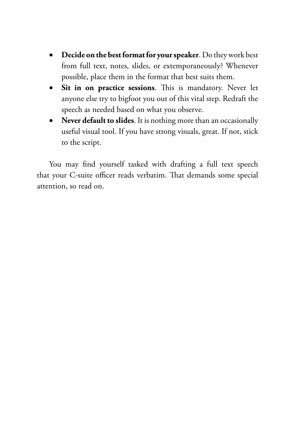- • **Decide on the best format for your speaker**. Do they work best from full text, notes, slides, or extemporaneously? Whenever possible, place them in the format that best suits them.
- • **Sit in on practice sessions**. This is mandatory. Never let anyone else try to bigfoot you out of this vital step. Redraft the speech as needed based on what you observe.
- **Never default to slides**. It is nothing more than an occasionally useful visual tool. If you have strong visuals, great. If not, stick to the script.

You may find yourself tasked with drafting a full text speech that your C-suite officer reads verbatim. That demands some special attention, so read on.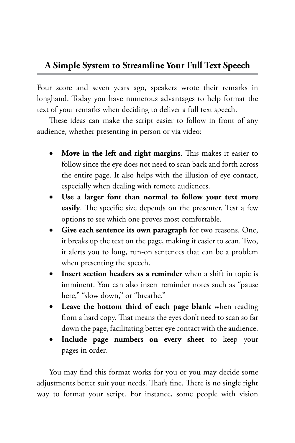#### **A Simple System to Streamline Your Full Text Speech**

Four score and seven years ago, speakers wrote their remarks in longhand. Today you have numerous advantages to help format the text of your remarks when deciding to deliver a full text speech.

These ideas can make the script easier to follow in front of any audience, whether presenting in person or via video:

- • **Move in the left and right margins**. This makes it easier to follow since the eye does not need to scan back and forth across the entire page. It also helps with the illusion of eye contact, especially when dealing with remote audiences.
- • **Use a larger font than normal to follow your text more easily**. The specific size depends on the presenter. Test a few options to see which one proves most comfortable.
- • **Give each sentence its own paragraph** for two reasons. One, it breaks up the text on the page, making it easier to scan. Two, it alerts you to long, run-on sentences that can be a problem when presenting the speech.
- • **Insert section headers as a reminder** when a shift in topic is imminent. You can also insert reminder notes such as "pause here," "slow down," or "breathe."
- • **Leave the bottom third of each page blank** when reading from a hard copy. That means the eyes don't need to scan so far down the page, facilitating better eye contact with the audience.
- • **Include page numbers on every sheet** to keep your pages in order.

You may find this format works for you or you may decide some adjustments better suit your needs. That's fine. There is no single right way to format your script. For instance, some people with vision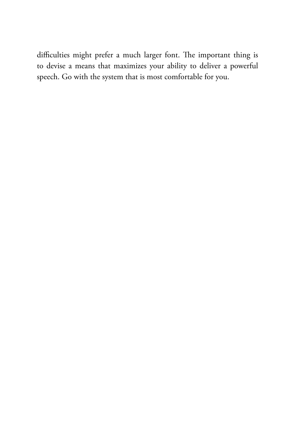difficulties might prefer a much larger font. The important thing is to devise a means that maximizes your ability to deliver a powerful speech. Go with the system that is most comfortable for you.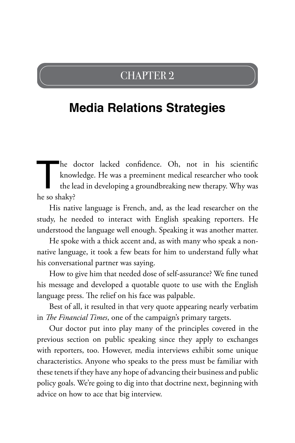## CHAPTER 2

# **Media Relations Strategies**

The doctor lacked confidence. Oh, not in his scientific knowledge. He was a preeminent medical researcher who took the lead in developing a groundbreaking new therapy. Why was he so shaky? knowledge. He was a preeminent medical researcher who took the lead in developing a groundbreaking new therapy. Why was he so shaky?

His native language is French, and, as the lead researcher on the study, he needed to interact with English speaking reporters. He understood the language well enough. Speaking it was another matter.

He spoke with a thick accent and, as with many who speak a nonnative language, it took a few beats for him to understand fully what his conversational partner was saying.

How to give him that needed dose of self-assurance? We fine tuned his message and developed a quotable quote to use with the English language press. The relief on his face was palpable.

Best of all, it resulted in that very quote appearing nearly verbatim in *The Financial Times*, one of the campaign's primary targets.

Our doctor put into play many of the principles covered in the previous section on public speaking since they apply to exchanges with reporters, too. However, media interviews exhibit some unique characteristics. Anyone who speaks to the press must be familiar with these tenets if they have any hope of advancing their business and public policy goals. We're going to dig into that doctrine next, beginning with advice on how to ace that big interview.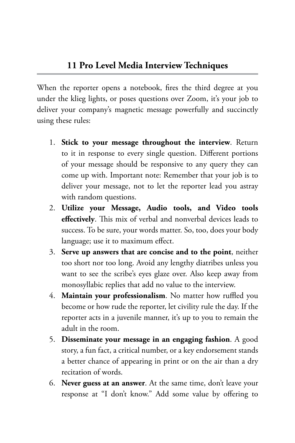When the reporter opens a notebook, fires the third degree at you under the klieg lights, or poses questions over Zoom, it's your job to deliver your company's magnetic message powerfully and succinctly using these rules:

- 1. **Stick to your message throughout the interview**. Return to it in response to every single question. Different portions of your message should be responsive to any query they can come up with. Important note: Remember that your job is to deliver your message, not to let the reporter lead you astray with random questions.
- 2. **Utilize your Message, Audio tools, and Video tools effectively**. This mix of verbal and nonverbal devices leads to success. To be sure, your words matter. So, too, does your body language; use it to maximum effect.
- 3. **Serve up answers that are concise and to the point**, neither too short nor too long. Avoid any lengthy diatribes unless you want to see the scribe's eyes glaze over. Also keep away from monosyllabic replies that add no value to the interview.
- 4. **Maintain your professionalism**. No matter how ruffled you become or how rude the reporter, let civility rule the day. If the reporter acts in a juvenile manner, it's up to you to remain the adult in the room.
- 5. **Disseminate your message in an engaging fashion**. A good story, a fun fact, a critical number, or a key endorsement stands a better chance of appearing in print or on the air than a dry recitation of words.
- 6. **Never guess at an answer**. At the same time, don't leave your response at "I don't know." Add some value by offering to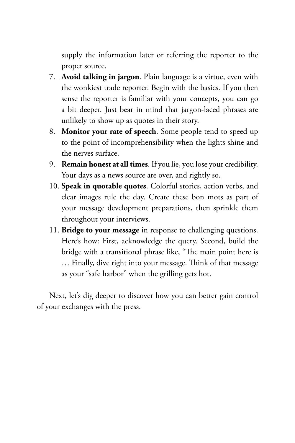supply the information later or referring the reporter to the proper source.

- 7. **Avoid talking in jargon**. Plain language is a virtue, even with the wonkiest trade reporter. Begin with the basics. If you then sense the reporter is familiar with your concepts, you can go a bit deeper. Just bear in mind that jargon-laced phrases are unlikely to show up as quotes in their story.
- 8. **Monitor your rate of speech**. Some people tend to speed up to the point of incomprehensibility when the lights shine and the nerves surface.
- 9. **Remain honest at all times**. If you lie, you lose your credibility. Your days as a news source are over, and rightly so.
- 10. **Speak in quotable quotes**. Colorful stories, action verbs, and clear images rule the day. Create these bon mots as part of your message development preparations, then sprinkle them throughout your interviews.
- 11. **Bridge to your message** in response to challenging questions. Here's how: First, acknowledge the query. Second, build the bridge with a transitional phrase like, "The main point here is … Finally, dive right into your message. Think of that message as your "safe harbor" when the grilling gets hot.

Next, let's dig deeper to discover how you can better gain control of your exchanges with the press.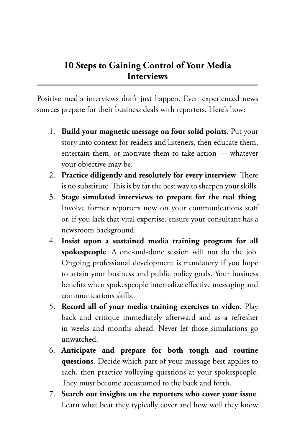### **10 Steps to Gaining Control of Your Media Interviews**

Positive media interviews don't just happen. Even experienced news sources prepare for their business deals with reporters. Here's how:

- 1. **Build your magnetic message on four solid points**. Put your story into context for readers and listeners, then educate them, entertain them, or motivate them to take action — whatever your objective may be.
- 2. **Practice diligently and resolutely for every interview**. There is no substitute. This is by far the best way to sharpen your skills.
- 3. **Stage simulated interviews to prepare for the real thing**. Involve former reporters now on your communications staff or, if you lack that vital expertise, ensure your consultant has a newsroom background.
- 4. **Insist upon a sustained media training program for all spokespeople**. A one-and-done session will not do the job. Ongoing professional development is mandatory if you hope to attain your business and public policy goals. Your business benefits when spokespeople internalize effective messaging and communications skills.
- 5. **Record all of your media training exercises to video**. Play back and critique immediately afterward and as a refresher in weeks and months ahead. Never let those simulations go unwatched.
- 6. **Anticipate and prepare for both tough and routine questions**. Decide which part of your message best applies to each, then practice volleying questions at your spokespeople. They must become accustomed to the back and forth.
- 7. **Search out insights on the reporters who cover your issue**. Learn what beat they typically cover and how well they know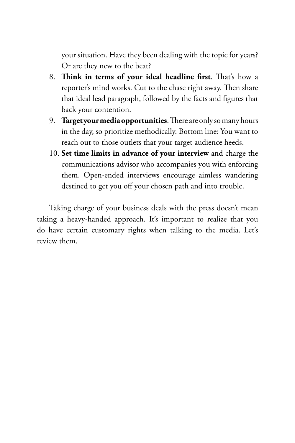your situation. Have they been dealing with the topic for years? Or are they new to the beat?

- 8. **Think in terms of your ideal headline first**. That's how a reporter's mind works. Cut to the chase right away. Then share that ideal lead paragraph, followed by the facts and figures that back your contention.
- 9. **Target your media opportunities**. There are only so many hours in the day, so prioritize methodically. Bottom line: You want to reach out to those outlets that your target audience heeds.
- 10. **Set time limits in advance of your interview** and charge the communications advisor who accompanies you with enforcing them. Open-ended interviews encourage aimless wandering destined to get you off your chosen path and into trouble.

Taking charge of your business deals with the press doesn't mean taking a heavy-handed approach. It's important to realize that you do have certain customary rights when talking to the media. Let's review them.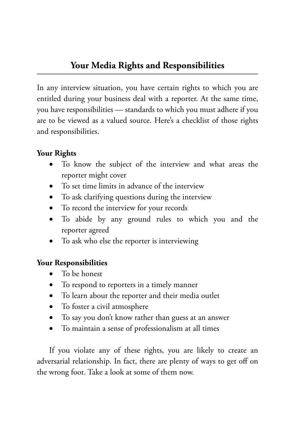In any interview situation, you have certain rights to which you are entitled during your business deal with a reporter. At the same time, you have responsibilities — standards to which you must adhere if you are to be viewed as a valued source. Here's a checklist of those rights and responsibilities.

#### **Your Rights**

- To know the subject of the interview and what areas the reporter might cover
- To set time limits in advance of the interview
- To ask clarifying questions during the interview
- To record the interview for your records
- • To abide by any ground rules to which you and the reporter agreed
- To ask who else the reporter is interviewing

#### **Your Responsibilities**

- To be honest
- To respond to reporters in a timely manner
- To learn about the reporter and their media outlet
- • To foster a civil atmosphere
- To say you don't know rather than guess at an answer
- • To maintain a sense of professionalism at all times

If you violate any of these rights, you are likely to create an adversarial relationship. In fact, there are plenty of ways to get off on the wrong foot. Take a look at some of them now.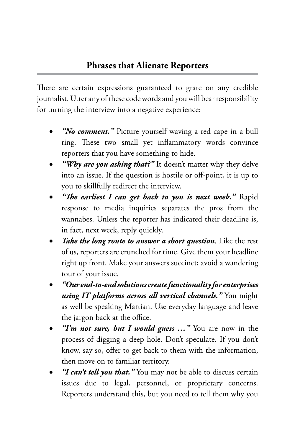There are certain expressions guaranteed to grate on any credible journalist. Utter any of these code words and you will bear responsibility for turning the interview into a negative experience:

- "*No comment.*" Picture yourself waving a red cape in a bull ring. These two small yet inflammatory words convince reporters that you have something to hide.
- "Why are you asking that?" It doesn't matter why they delve into an issue. If the question is hostile or off-point, it is up to you to skillfully redirect the interview.
- *"The earliest I can get back to you is next week."* **Rapid** response to media inquiries separates the pros from the wannabes. Unless the reporter has indicated their deadline is, in fact, next week, reply quickly.
- • *Take the long route to answer a short question*. Like the rest of us, reporters are crunched for time. Give them your headline right up front. Make your answers succinct; avoid a wandering tour of your issue.
- • *"Our end-to-end solutions create functionality for enterprises using IT platforms across all vertical channels."* You might as well be speaking Martian. Use everyday language and leave the jargon back at the office.
- "I'm not sure, but I would guess ..." You are now in the process of digging a deep hole. Don't speculate. If you don't know, say so, offer to get back to them with the information, then move on to familiar territory.
- "I can't tell you that." You may not be able to discuss certain issues due to legal, personnel, or proprietary concerns. Reporters understand this, but you need to tell them why you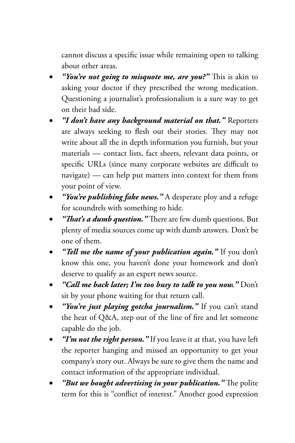cannot discuss a specific issue while remaining open to talking about other areas.

- "You're not going to misquote me, are you?" This is akin to asking your doctor if they prescribed the wrong medication. Questioning a journalist's professionalism is a sure way to get on their bad side.
- "I don't have any background material on that." Reporters are always seeking to flesh out their stories. They may not write about all the in depth information you furnish, but your materials — contact lists, fact sheets, relevant data points, or specific URLs (since many corporate websites are difficult to navigate) — can help put matters into context for them from your point of view.
- *"You're publishing fake news.*" A desperate ploy and a refuge for scoundrels with something to hide.
- "That's a dumb question." There are few dumb questions. But plenty of media sources come up with dumb answers. Don't be one of them.
- "Tell me the name of your publication again." If you don't know this one, you haven't done your homework and don't deserve to qualify as an expert news source.
- • *"Call me back later; I'm too busy to talk to you now."* Don't sit by your phone waiting for that return call.
- "You're just playing gotcha journalism." If you can't stand the heat of Q&A, step out of the line of fire and let someone capable do the job.
- "I'm not the right person." If you leave it at that, you have left the reporter hanging and missed an opportunity to get your company's story out. Always be sure to give them the name and contact information of the appropriate individual.
- "But we bought advertising in your publication." The polite term for this is "conflict of interest." Another good expression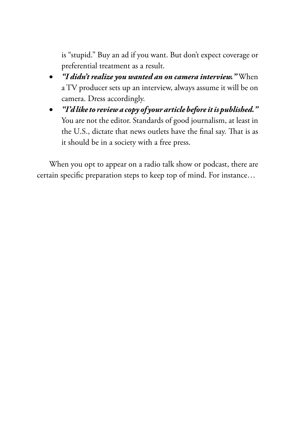is "stupid." Buy an ad if you want. But don't expect coverage or preferential treatment as a result.

- • *"I didn't realize you wanted an on camera interview."* When a TV producer sets up an interview, always assume it will be on camera. Dress accordingly.
- • *"I'd like to review a copy of your article before it is published."* You are not the editor. Standards of good journalism, at least in the U.S., dictate that news outlets have the final say. That is as it should be in a society with a free press.

When you opt to appear on a radio talk show or podcast, there are certain specific preparation steps to keep top of mind. For instance…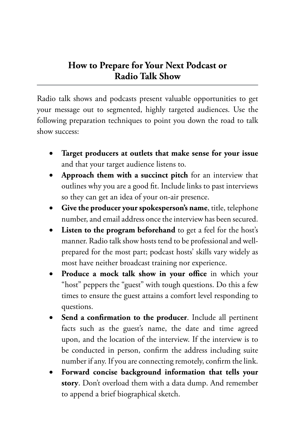#### **How to Prepare for Your Next Podcast or Radio Talk Show**

Radio talk shows and podcasts present valuable opportunities to get your message out to segmented, highly targeted audiences. Use the following preparation techniques to point you down the road to talk show success:

- Target producers at outlets that make sense for your issue and that your target audience listens to.
- Approach them with a succinct pitch for an interview that outlines why you are a good fit. Include links to past interviews so they can get an idea of your on-air presence.
- Give the producer your spokesperson's name, title, telephone number, and email address once the interview has been secured.
- **Listen to the program beforehand** to get a feel for the host's manner. Radio talk show hosts tend to be professional and wellprepared for the most part; podcast hosts' skills vary widely as most have neither broadcast training nor experience.
- • **Produce a mock talk show in your office** in which your "host" peppers the "guest" with tough questions. Do this a few times to ensure the guest attains a comfort level responding to questions.
- Send a confirmation to the producer. Include all pertinent facts such as the guest's name, the date and time agreed upon, and the location of the interview. If the interview is to be conducted in person, confirm the address including suite number if any. If you are connecting remotely, confirm the link.
- Forward concise background information that tells your **story**. Don't overload them with a data dump. And remember to append a brief biographical sketch.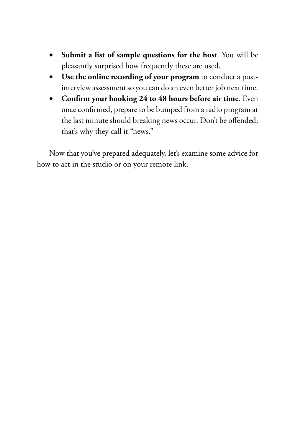- Submit a list of sample questions for the host. You will be pleasantly surprised how frequently these are used.
- • **Use the online recording of your program** to conduct a postinterview assessment so you can do an even better job next time.
- • **Confirm your booking 24 to 48 hours before air time**. Even once confirmed, prepare to be bumped from a radio program at the last minute should breaking news occur. Don't be offended; that's why they call it "news."

Now that you've prepared adequately, let's examine some advice for how to act in the studio or on your remote link.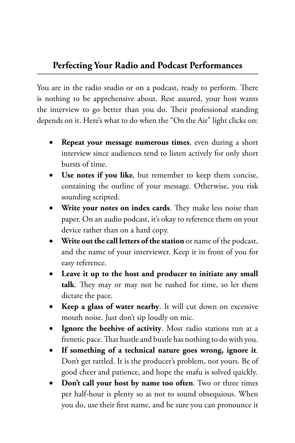#### **Perfecting Your Radio and Podcast Performances**

You are in the radio studio or on a podcast, ready to perform. There is nothing to be apprehensive about. Rest assured, your host wants the interview to go better than you do. Their professional standing depends on it. Here's what to do when the "On the Air" light clicks on:

- **Repeat your message numerous times**, even during a short interview since audiences tend to listen actively for only short bursts of time.
- Use notes if you like, but remember to keep them concise, containing the outline of your message. Otherwise, you risk sounding scripted.
- **Write your notes on index cards.** They make less noise than paper. On an audio podcast, it's okay to reference them on your device rather than on a hard copy.
- • **Write out the call letters of the station** or name of the podcast, and the name of your interviewer. Keep it in front of you for easy reference.
- • **Leave it up to the host and producer to initiate any small talk**. They may or may not be rushed for time, so let them dictate the pace.
- **Keep a glass of water nearby**. It will cut down on excessive mouth noise. Just don't sip loudly on mic.
- Ignore the beehive of activity. Most radio stations run at a frenetic pace. That hustle and bustle has nothing to do with you.
- If something of a technical nature goes wrong, ignore it. Don't get rattled. It is the producer's problem, not yours. Be of good cheer and patience, and hope the snafu is solved quickly.
- Don't call your host by name too often. Two or three times per half-hour is plenty so as not to sound obsequious. When you do, use their first name, and be sure you can pronounce it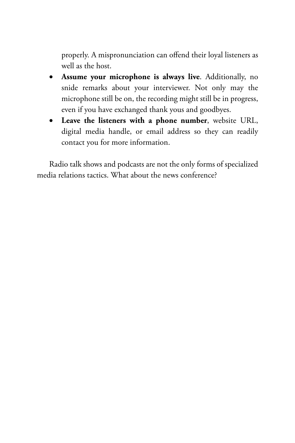properly. A mispronunciation can offend their loyal listeners as well as the host.

- • **Assume your microphone is always live**. Additionally, no snide remarks about your interviewer. Not only may the microphone still be on, the recording might still be in progress, even if you have exchanged thank yous and goodbyes.
- • **Leave the listeners with a phone number**, website URL, digital media handle, or email address so they can readily contact you for more information.

Radio talk shows and podcasts are not the only forms of specialized media relations tactics. What about the news conference?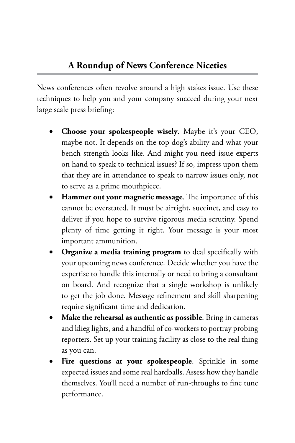News conferences often revolve around a high stakes issue. Use these techniques to help you and your company succeed during your next large scale press briefing:

- Choose your spokespeople wisely. Maybe it's your CEO, maybe not. It depends on the top dog's ability and what your bench strength looks like. And might you need issue experts on hand to speak to technical issues? If so, impress upon them that they are in attendance to speak to narrow issues only, not to serve as a prime mouthpiece.
- **Hammer out your magnetic message.** The importance of this cannot be overstated. It must be airtight, succinct, and easy to deliver if you hope to survive rigorous media scrutiny. Spend plenty of time getting it right. Your message is your most important ammunition.
- **Organize a media training program** to deal specifically with your upcoming news conference. Decide whether you have the expertise to handle this internally or need to bring a consultant on board. And recognize that a single workshop is unlikely to get the job done. Message refinement and skill sharpening require significant time and dedication.
- Make the rehearsal as authentic as possible. Bring in cameras and klieg lights, and a handful of co-workers to portray probing reporters. Set up your training facility as close to the real thing as you can.
- Fire questions at your spokespeople. Sprinkle in some expected issues and some real hardballs. Assess how they handle themselves. You'll need a number of run-throughs to fine tune performance.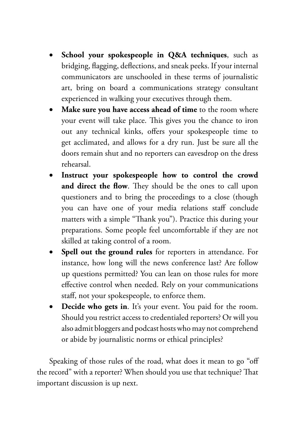- • **School your spokespeople in Q&A techniques**, such as bridging, flagging, deflections, and sneak peeks. If your internal communicators are unschooled in these terms of journalistic art, bring on board a communications strategy consultant experienced in walking your executives through them.
- • **Make sure you have access ahead of time** to the room where your event will take place. This gives you the chance to iron out any technical kinks, offers your spokespeople time to get acclimated, and allows for a dry run. Just be sure all the doors remain shut and no reporters can eavesdrop on the dress rehearsal.
- Instruct your spokespeople how to control the crowd **and direct the flow**. They should be the ones to call upon questioners and to bring the proceedings to a close (though you can have one of your media relations staff conclude matters with a simple "Thank you"). Practice this during your preparations. Some people feel uncomfortable if they are not skilled at taking control of a room.
- Spell out the ground rules for reporters in attendance. For instance, how long will the news conference last? Are follow up questions permitted? You can lean on those rules for more effective control when needed. Rely on your communications staff, not your spokespeople, to enforce them.
- **• Decide who gets in**. It's your event. You paid for the room. Should you restrict access to credentialed reporters? Or will you also admit bloggers and podcast hosts who may not comprehend or abide by journalistic norms or ethical principles?

Speaking of those rules of the road, what does it mean to go "off the record" with a reporter? When should you use that technique? That important discussion is up next.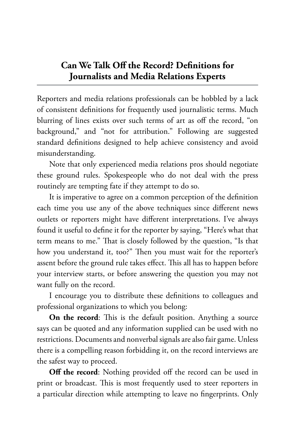#### **Can We Talk Off the Record? Definitions for Journalists and Media Relations Experts**

Reporters and media relations professionals can be hobbled by a lack of consistent definitions for frequently used journalistic terms. Much blurring of lines exists over such terms of art as off the record, "on background," and "not for attribution." Following are suggested standard definitions designed to help achieve consistency and avoid misunderstanding.

Note that only experienced media relations pros should negotiate these ground rules. Spokespeople who do not deal with the press routinely are tempting fate if they attempt to do so.

It is imperative to agree on a common perception of the definition each time you use any of the above techniques since different news outlets or reporters might have different interpretations. I've always found it useful to define it for the reporter by saying, "Here's what that term means to me." That is closely followed by the question, "Is that how you understand it, too?" Then you must wait for the reporter's assent before the ground rule takes effect. This all has to happen before your interview starts, or before answering the question you may not want fully on the record.

I encourage you to distribute these definitions to colleagues and professional organizations to which you belong:

**On the record**: This is the default position. Anything a source says can be quoted and any information supplied can be used with no restrictions. Documents and nonverbal signals are also fair game. Unless there is a compelling reason forbidding it, on the record interviews are the safest way to proceed.

**Off the record**: Nothing provided off the record can be used in print or broadcast. This is most frequently used to steer reporters in a particular direction while attempting to leave no fingerprints. Only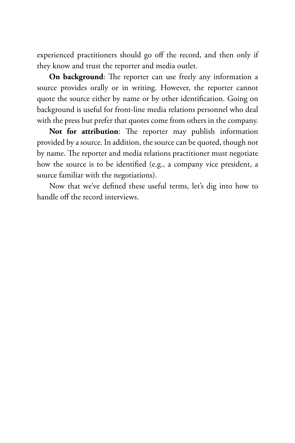experienced practitioners should go off the record, and then only if they know and trust the reporter and media outlet.

**On background**: The reporter can use freely any information a source provides orally or in writing. However, the reporter cannot quote the source either by name or by other identification. Going on background is useful for front-line media relations personnel who deal with the press but prefer that quotes come from others in the company.

**Not for attribution**: The reporter may publish information provided by a source. In addition, the source can be quoted, though not by name. The reporter and media relations practitioner must negotiate how the source is to be identified (e.g., a company vice president, a source familiar with the negotiations).

Now that we've defined these useful terms, let's dig into how to handle off the record interviews.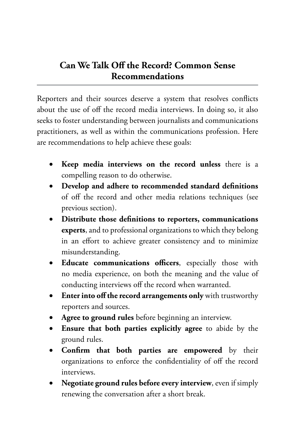## **Can We Talk Off the Record? Common Sense Recommendations**

Reporters and their sources deserve a system that resolves conflicts about the use of off the record media interviews. In doing so, it also seeks to foster understanding between journalists and communications practitioners, as well as within the communications profession. Here are recommendations to help achieve these goals:

- **Keep media interviews on the record unless** there is a compelling reason to do otherwise.
- Develop and adhere to recommended standard definitions of off the record and other media relations techniques (see previous section).
- • **Distribute those definitions to reporters, communications experts**, and to professional organizations to which they belong in an effort to achieve greater consistency and to minimize misunderstanding.
- • **Educate communications officers**, especially those with no media experience, on both the meaning and the value of conducting interviews off the record when warranted.
- **•** Enter into off the record arrangements only with trustworthy reporters and sources.
- Agree to ground rules before beginning an interview.
- • **Ensure that both parties explicitly agree** to abide by the ground rules.
- **Confirm that both parties are empowered** by their organizations to enforce the confidentiality of off the record interviews.
- Negotiate ground rules before every interview, even if simply renewing the conversation after a short break.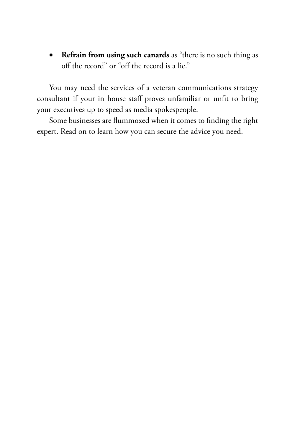• **Refrain from using such canards** as "there is no such thing as off the record" or "off the record is a lie."

You may need the services of a veteran communications strategy consultant if your in house staff proves unfamiliar or unfit to bring your executives up to speed as media spokespeople.

Some businesses are flummoxed when it comes to finding the right expert. Read on to learn how you can secure the advice you need.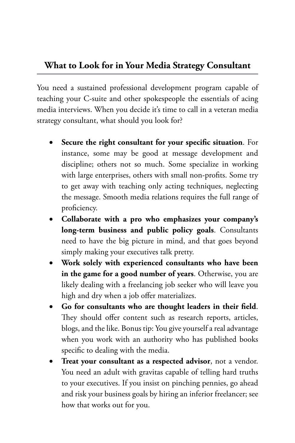#### **What to Look for in Your Media Strategy Consultant**

You need a sustained professional development program capable of teaching your C-suite and other spokespeople the essentials of acing media interviews. When you decide it's time to call in a veteran media strategy consultant, what should you look for?

- Secure the right consultant for your specific situation. For instance, some may be good at message development and discipline; others not so much. Some specialize in working with large enterprises, others with small non-profits. Some try to get away with teaching only acting techniques, neglecting the message. Smooth media relations requires the full range of proficiency.
- Collaborate with a pro who emphasizes your company's **long-term business and public policy goals**. Consultants need to have the big picture in mind, and that goes beyond simply making your executives talk pretty.
- • **Work solely with experienced consultants who have been in the game for a good number of years**. Otherwise, you are likely dealing with a freelancing job seeker who will leave you high and dry when a job offer materializes.
- Go for consultants who are thought leaders in their field. They should offer content such as research reports, articles, blogs, and the like. Bonus tip: You give yourself a real advantage when you work with an authority who has published books specific to dealing with the media.
- Treat your consultant as a respected advisor, not a vendor. You need an adult with gravitas capable of telling hard truths to your executives. If you insist on pinching pennies, go ahead and risk your business goals by hiring an inferior freelancer; see how that works out for you.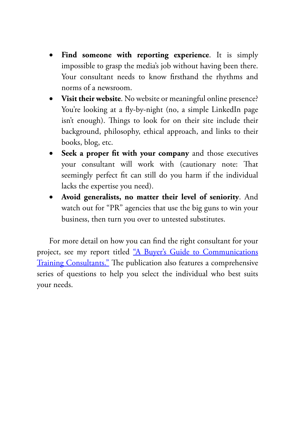- Find someone with reporting experience. It is simply impossible to grasp the media's job without having been there. Your consultant needs to know firsthand the rhythms and norms of a newsroom.
- • **Visit their website**. No website or meaningful online presence? You're looking at a fly-by-night (no, a simple LinkedIn page isn't enough). Things to look for on their site include their background, philosophy, ethical approach, and links to their books, blog, etc.
- • **Seek a proper fit with your company** and those executives your consultant will work with (cautionary note: That seemingly perfect fit can still do you harm if the individual lacks the expertise you need).
- Avoid generalists, no matter their level of seniority. And watch out for "PR" agencies that use the big guns to win your business, then turn you over to untested substitutes.

For more detail on how you can find the right consultant for your project, see my report titled ["A Buyer's Guide to Communications](https://www.barkscomm.com/wp-content/uploads/2021/02/Buyers-Guide-to-Communications-Strategy-Consultants.pdf) [Training Consultants."](https://www.barkscomm.com/wp-content/uploads/2021/02/Buyers-Guide-to-Communications-Strategy-Consultants.pdf) The publication also features a comprehensive series of questions to help you select the individual who best suits your needs.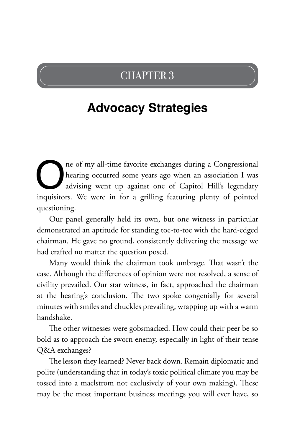## CHAPTER 3

# **Advocacy Strategies**

The of my all-time favorite exchanges during a Congressional<br>hearing occurred some years ago when an association I was<br>advising went up against one of Capitol Hill's legendary<br>inquisitors. We were in for a grilling featuri hearing occurred some years ago when an association I was advising went up against one of Capitol Hill's legendary inquisitors. We were in for a grilling featuring plenty of pointed questioning.

Our panel generally held its own, but one witness in particular demonstrated an aptitude for standing toe-to-toe with the hard-edged chairman. He gave no ground, consistently delivering the message we had crafted no matter the question posed.

Many would think the chairman took umbrage. That wasn't the case. Although the differences of opinion were not resolved, a sense of civility prevailed. Our star witness, in fact, approached the chairman at the hearing's conclusion. The two spoke congenially for several minutes with smiles and chuckles prevailing, wrapping up with a warm handshake.

The other witnesses were gobsmacked. How could their peer be so bold as to approach the sworn enemy, especially in light of their tense Q&A exchanges?

The lesson they learned? Never back down. Remain diplomatic and polite (understanding that in today's toxic political climate you may be tossed into a maelstrom not exclusively of your own making). These may be the most important business meetings you will ever have, so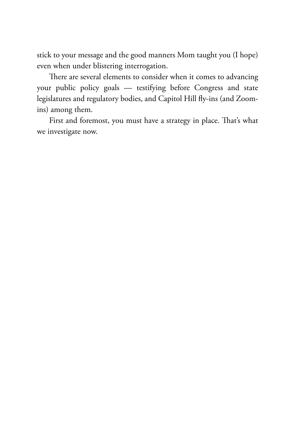stick to your message and the good manners Mom taught you (I hope) even when under blistering interrogation.

There are several elements to consider when it comes to advancing your public policy goals — testifying before Congress and state legislatures and regulatory bodies, and Capitol Hill fly-ins (and Zoomins) among them.

First and foremost, you must have a strategy in place. That's what we investigate now.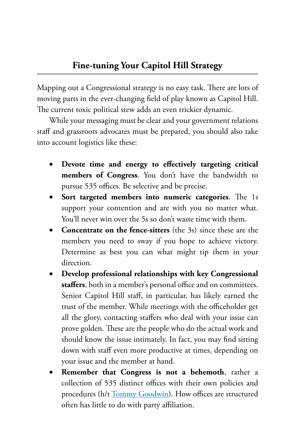Mapping out a Congressional strategy is no easy task. There are lots of moving parts in the ever-changing field of play known as Capitol Hill. The current toxic political stew adds an even trickier dynamic.

While your messaging must be clear and your government relations staff and grassroots advocates must be prepared, you should also take into account logistics like these:

- Devote time and energy to effectively targeting critical **members of Congress**. You don't have the bandwidth to pursue 535 offices. Be selective and be precise.
- **Sort targeted members into numeric categories**. The 1s support your contention and are with you no matter what. You'll never win over the 5s so don't waste time with them.
- • **Concentrate on the fence-sitters** (the 3s) since these are the members you need to sway if you hope to achieve victory. Determine as best you can what might tip them in your direction.
- • **Develop professional relationships with key Congressional staffers**, both in a member's personal office and on committees. Senior Capitol Hill staff, in particular, has likely earned the trust of the member. While meetings with the officeholder get all the glory, contacting staffers who deal with your issue can prove golden. These are the people who do the actual work and should know the issue intimately. In fact, you may find sitting down with staff even more productive at times, depending on your issue and the member at hand.
- **Remember that Congress is not a behemoth**, rather a collection of 535 distinct offices with their own policies and procedures (h/t [Tommy Goodwin\)](https://twitter.com/tommygoodwin). How offices are structured often has little to do with party affiliation.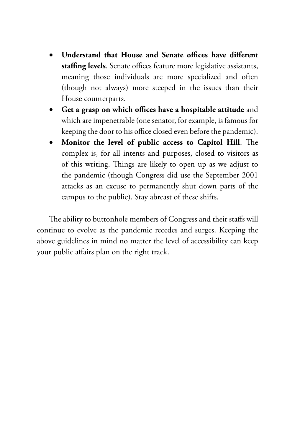- • **Understand that House and Senate offices have different staffing levels**. Senate offices feature more legislative assistants, meaning those individuals are more specialized and often (though not always) more steeped in the issues than their House counterparts.
- • **Get a grasp on which offices have a hospitable attitude** and which are impenetrable (one senator, for example, is famous for keeping the door to his office closed even before the pandemic).
- • **Monitor the level of public access to Capitol Hill**. The complex is, for all intents and purposes, closed to visitors as of this writing. Things are likely to open up as we adjust to the pandemic (though Congress did use the September 2001 attacks as an excuse to permanently shut down parts of the campus to the public). Stay abreast of these shifts.

The ability to buttonhole members of Congress and their staffs will continue to evolve as the pandemic recedes and surges. Keeping the above guidelines in mind no matter the level of accessibility can keep your public affairs plan on the right track.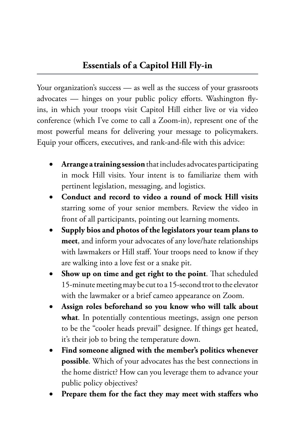Your organization's success — as well as the success of your grassroots advocates — hinges on your public policy efforts. Washington flyins, in which your troops visit Capitol Hill either live or via video conference (which I've come to call a Zoom-in), represent one of the most powerful means for delivering your message to policymakers. Equip your officers, executives, and rank-and-file with this advice:

- Arrange a training session that includes advocates participating in mock Hill visits. Your intent is to familiarize them with pertinent legislation, messaging, and logistics.
- Conduct and record to video a round of mock Hill visits starring some of your senior members. Review the video in front of all participants, pointing out learning moments.
- Supply bios and photos of the legislators your team plans to **meet**, and inform your advocates of any love/hate relationships with lawmakers or Hill staff. Your troops need to know if they are walking into a love fest or a snake pit.
- • **Show up on time and get right to the point**. That scheduled 15-minute meeting may be cut to a 15-second trot to the elevator with the lawmaker or a brief cameo appearance on Zoom.
- Assign roles beforehand so you know who will talk about **what**. In potentially contentious meetings, assign one person to be the "cooler heads prevail" designee. If things get heated, it's their job to bring the temperature down.
- Find someone aligned with the member's politics whenever **possible**. Which of your advocates has the best connections in the home district? How can you leverage them to advance your public policy objectives?
- Prepare them for the fact they may meet with staffers who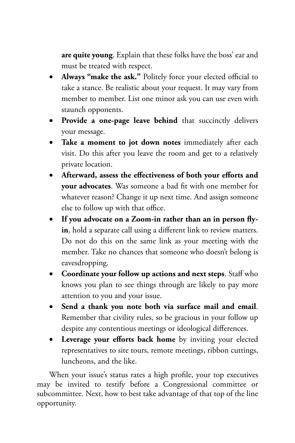**are quite young**. Explain that these folks have the boss' ear and must be treated with respect.

- **Always "make the ask."** Politely force your elected official to take a stance. Be realistic about your request. It may vary from member to member. List one minor ask you can use even with staunch opponents.
- • **Provide a one-page leave behind** that succinctly delivers your message.
- • **Take a moment to jot down notes** immediately after each visit. Do this after you leave the room and get to a relatively private location.
- • **Afterward, assess the effectiveness of both your efforts and your advocates**. Was someone a bad fit with one member for whatever reason? Change it up next time. And assign someone else to follow up with that office.
- • **If you advocate on a Zoom-in rather than an in person flyin**, hold a separate call using a different link to review matters. Do not do this on the same link as your meeting with the member. Take no chances that someone who doesn't belong is eavesdropping.
- • **Coordinate your follow up actions and next steps**. Staff who knows you plan to see things through are likely to pay more attention to you and your issue.
- • **Send a thank you note both via surface mail and email**. Remember that civility rules, so be gracious in your follow up despite any contentious meetings or ideological differences.
- • **Leverage your efforts back home** by inviting your elected representatives to site tours, remote meetings, ribbon cuttings, luncheons, and the like.

When your issue's status rates a high profile, your top executives may be invited to testify before a Congressional committee or subcommittee. Next, how to best take advantage of that top of the line opportunity.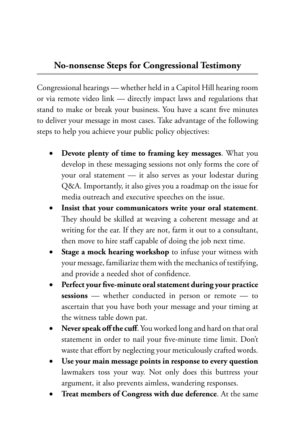#### **No-nonsense Steps for Congressional Testimony**

Congressional hearings — whether held in a Capitol Hill hearing room or via remote video link — directly impact laws and regulations that stand to make or break your business. You have a scant five minutes to deliver your message in most cases. Take advantage of the following steps to help you achieve your public policy objectives:

- **Devote plenty of time to framing key messages**. What you develop in these messaging sessions not only forms the core of your oral statement — it also serves as your lodestar during Q&A. Importantly, it also gives you a roadmap on the issue for media outreach and executive speeches on the issue.
- Insist that your communicators write your oral statement. They should be skilled at weaving a coherent message and at writing for the ear. If they are not, farm it out to a consultant, then move to hire staff capable of doing the job next time.
- **Stage a mock hearing workshop** to infuse your witness with your message, familiarize them with the mechanics of testifying, and provide a needed shot of confidence.
- • **Perfect your five-minute oral statement during your practice**  sessions — whether conducted in person or remote — to ascertain that you have both your message and your timing at the witness table down pat.
- Never speak off the cuff. You worked long and hard on that oral statement in order to nail your five-minute time limit. Don't waste that effort by neglecting your meticulously crafted words.
- Use your main message points in response to every question lawmakers toss your way. Not only does this buttress your argument, it also prevents aimless, wandering responses.
- **Treat members of Congress with due deference**. At the same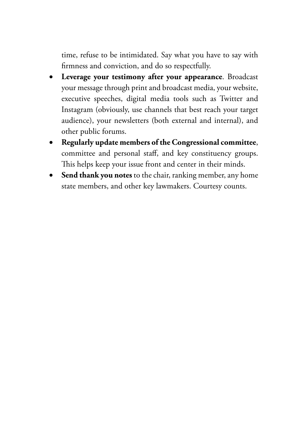time, refuse to be intimidated. Say what you have to say with firmness and conviction, and do so respectfully.

- • **Leverage your testimony after your appearance**. Broadcast your message through print and broadcast media, your website, executive speeches, digital media tools such as Twitter and Instagram (obviously, use channels that best reach your target audience), your newsletters (both external and internal), and other public forums.
- Regularly update members of the Congressional committee, committee and personal staff, and key constituency groups. This helps keep your issue front and center in their minds.
- Send thank you notes to the chair, ranking member, any home state members, and other key lawmakers. Courtesy counts.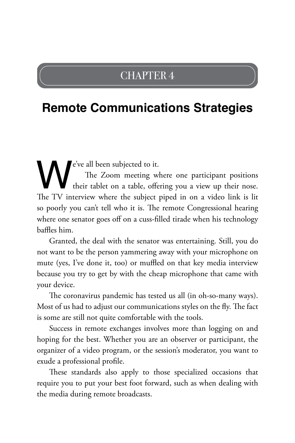### CHAPTER 4

## **Remote Communications Strategies**

e've all been subjected to it.<br>The Zoom meeting we their tablet on a table, offer<br>The TV interview where the subject The Zoom meeting where one participant positions their tablet on a table, offering you a view up their nose. The TV interview where the subject piped in on a video link is lit so poorly you can't tell who it is. The remote Congressional hearing where one senator goes off on a cuss-filled tirade when his technology baffles him.

Granted, the deal with the senator was entertaining. Still, you do not want to be the person yammering away with your microphone on mute (yes, I've done it, too) or muffled on that key media interview because you try to get by with the cheap microphone that came with your device.

The coronavirus pandemic has tested us all (in oh-so-many ways). Most of us had to adjust our communications styles on the fly. The fact is some are still not quite comfortable with the tools.

Success in remote exchanges involves more than logging on and hoping for the best. Whether you are an observer or participant, the organizer of a video program, or the session's moderator, you want to exude a professional profile.

These standards also apply to those specialized occasions that require you to put your best foot forward, such as when dealing with the media during remote broadcasts.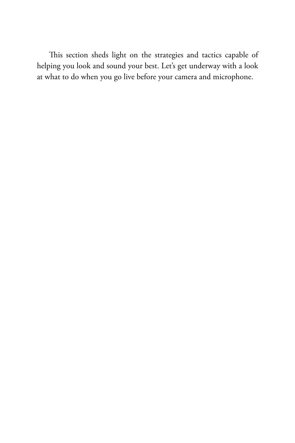This section sheds light on the strategies and tactics capable of helping you look and sound your best. Let's get underway with a look at what to do when you go live before your camera and microphone.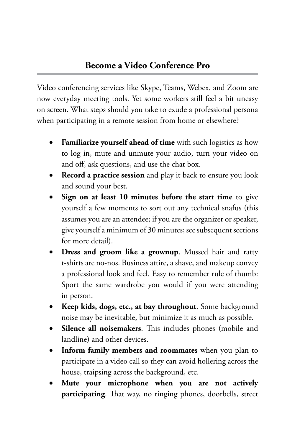Video conferencing services like Skype, Teams, Webex, and Zoom are now everyday meeting tools. Yet some workers still feel a bit uneasy on screen. What steps should you take to exude a professional persona when participating in a remote session from home or elsewhere?

- Familiarize yourself ahead of time with such logistics as how to log in, mute and unmute your audio, turn your video on and off, ask questions, and use the chat box.
- **Record a practice session** and play it back to ensure you look and sound your best.
- Sign on at least 10 minutes before the start time to give yourself a few moments to sort out any technical snafus (this assumes you are an attendee; if you are the organizer or speaker, give yourself a minimum of 30 minutes; see subsequent sections for more detail).
- **Dress and groom like a grownup**. Mussed hair and ratty t-shirts are no-nos. Business attire, a shave, and makeup convey a professional look and feel. Easy to remember rule of thumb: Sport the same wardrobe you would if you were attending in person.
- • **Keep kids, dogs, etc., at bay throughout**. Some background noise may be inevitable, but minimize it as much as possible.
- Silence all noisemakers. This includes phones (mobile and landline) and other devices.
- **Inform family members and roommates** when you plan to participate in a video call so they can avoid hollering across the house, traipsing across the background, etc.
- Mute your microphone when you are not actively **participating**. That way, no ringing phones, doorbells, street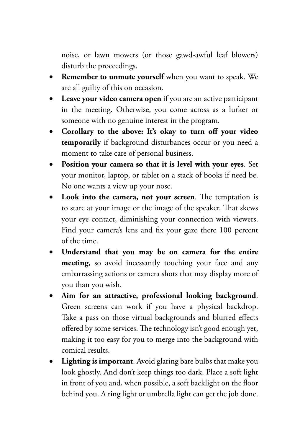noise, or lawn mowers (or those gawd-awful leaf blowers) disturb the proceedings.

- • **Remember to unmute yourself** when you want to speak. We are all guilty of this on occasion.
- **Leave your video camera open** if you are an active participant in the meeting. Otherwise, you come across as a lurker or someone with no genuine interest in the program.
- • **Corollary to the above: It's okay to turn off your video temporarily** if background disturbances occur or you need a moment to take care of personal business.
- Position your camera so that it is level with your eyes. Set your monitor, laptop, or tablet on a stack of books if need be. No one wants a view up your nose.
- • **Look into the camera, not your screen**. The temptation is to stare at your image or the image of the speaker. That skews your eye contact, diminishing your connection with viewers. Find your camera's lens and fix your gaze there 100 percent of the time.
- • **Understand that you may be on camera for the entire meeting**, so avoid incessantly touching your face and any embarrassing actions or camera shots that may display more of you than you wish.
- • **Aim for an attractive, professional looking background**. Green screens can work if you have a physical backdrop. Take a pass on those virtual backgrounds and blurred effects offered by some services. The technology isn't good enough yet, making it too easy for you to merge into the background with comical results.
- • **Lighting is important**. Avoid glaring bare bulbs that make you look ghostly. And don't keep things too dark. Place a soft light in front of you and, when possible, a soft backlight on the floor behind you. A ring light or umbrella light can get the job done.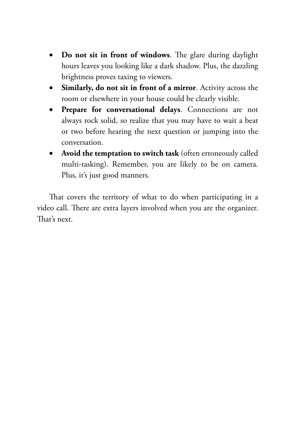- • **Do not sit in front of windows**. The glare during daylight hours leaves you looking like a dark shadow. Plus, the dazzling brightness proves taxing to viewers.
- • **Similarly, do not sit in front of a mirror**. Activity across the room or elsewhere in your house could be clearly visible.
- • **Prepare for conversational delays**. Connections are not always rock solid, so realize that you may have to wait a beat or two before hearing the next question or jumping into the conversation.
- • **Avoid the temptation to switch task** (often erroneously called multi-tasking). Remember, you are likely to be on camera. Plus, it's just good manners.

That covers the territory of what to do when participating in a video call. There are extra layers involved when you are the organizer. That's next.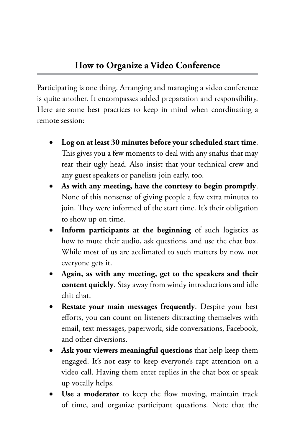Participating is one thing. Arranging and managing a video conference is quite another. It encompasses added preparation and responsibility. Here are some best practices to keep in mind when coordinating a remote session:

- Log on at least 30 minutes before your scheduled start time. This gives you a few moments to deal with any snafus that may rear their ugly head. Also insist that your technical crew and any guest speakers or panelists join early, too.
- • **As with any meeting, have the courtesy to begin promptly**. None of this nonsense of giving people a few extra minutes to join. They were informed of the start time. It's their obligation to show up on time.
- • **Inform participants at the beginning** of such logistics as how to mute their audio, ask questions, and use the chat box. While most of us are acclimated to such matters by now, not everyone gets it.
- • **Again, as with any meeting, get to the speakers and their content quickly**. Stay away from windy introductions and idle chit chat.
- • **Restate your main messages frequently**. Despite your best efforts, you can count on listeners distracting themselves with email, text messages, paperwork, side conversations, Facebook, and other diversions.
- Ask your viewers meaningful questions that help keep them engaged. It's not easy to keep everyone's rapt attention on a video call. Having them enter replies in the chat box or speak up vocally helps.
- Use a moderator to keep the flow moving, maintain track of time, and organize participant questions. Note that the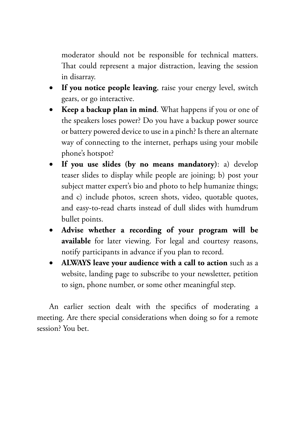moderator should not be responsible for technical matters. That could represent a major distraction, leaving the session in disarray.

- • **If you notice people leaving**, raise your energy level, switch gears, or go interactive.
- **Keep a backup plan in mind.** What happens if you or one of the speakers loses power? Do you have a backup power source or battery powered device to use in a pinch? Is there an alternate way of connecting to the internet, perhaps using your mobile phone's hotspot?
- • **If you use slides (by no means mandatory)**: a) develop teaser slides to display while people are joining; b) post your subject matter expert's bio and photo to help humanize things; and c) include photos, screen shots, video, quotable quotes, and easy-to-read charts instead of dull slides with humdrum bullet points.
- • **Advise whether a recording of your program will be available** for later viewing. For legal and courtesy reasons, notify participants in advance if you plan to record.
- • **ALWAYS leave your audience with a call to action** such as a website, landing page to subscribe to your newsletter, petition to sign, phone number, or some other meaningful step.

An earlier section dealt with the specifics of moderating a meeting. Are there special considerations when doing so for a remote session? You bet.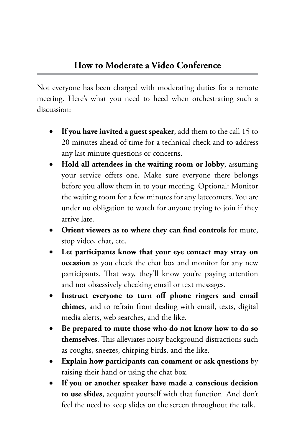Not everyone has been charged with moderating duties for a remote meeting. Here's what you need to heed when orchestrating such a discussion:

- If you have invited a guest speaker, add them to the call 15 to 20 minutes ahead of time for a technical check and to address any last minute questions or concerns.
- **Hold all attendees in the waiting room or lobby**, assuming your service offers one. Make sure everyone there belongs before you allow them in to your meeting. Optional: Monitor the waiting room for a few minutes for any latecomers. You are under no obligation to watch for anyone trying to join if they arrive late.
- **Orient viewers as to where they can find controls** for mute, stop video, chat, etc.
- Let participants know that your eye contact may stray on **occasion** as you check the chat box and monitor for any new participants. That way, they'll know you're paying attention and not obsessively checking email or text messages.
- • **Instruct everyone to turn off phone ringers and email chimes**, and to refrain from dealing with email, texts, digital media alerts, web searches, and the like.
- Be prepared to mute those who do not know how to do so **themselves**. This alleviates noisy background distractions such as coughs, sneezes, chirping birds, and the like.
- **Explain how participants can comment or ask questions** by raising their hand or using the chat box.
- If you or another speaker have made a conscious decision **to use slides**, acquaint yourself with that function. And don't feel the need to keep slides on the screen throughout the talk.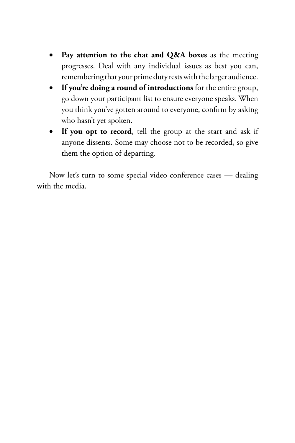- • **Pay attention to the chat and Q&A boxes** as the meeting progresses. Deal with any individual issues as best you can, remembering that your prime duty rests with the larger audience.
- • **If you're doing a round of introductions** for the entire group, go down your participant list to ensure everyone speaks. When you think you've gotten around to everyone, confirm by asking who hasn't yet spoken.
- • **If you opt to record**, tell the group at the start and ask if anyone dissents. Some may choose not to be recorded, so give them the option of departing.

Now let's turn to some special video conference cases — dealing with the media.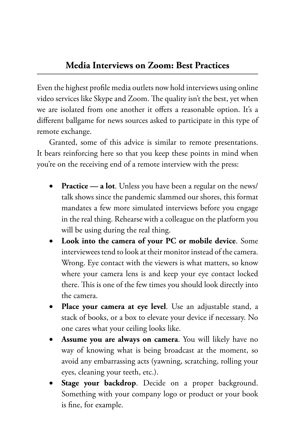Even the highest profile media outlets now hold interviews using online video services like Skype and Zoom. The quality isn't the best, yet when we are isolated from one another it offers a reasonable option. It's a different ballgame for news sources asked to participate in this type of remote exchange.

Granted, some of this advice is similar to remote presentations. It bears reinforcing here so that you keep these points in mind when you're on the receiving end of a remote interview with the press:

- **Practice a lot**. Unless you have been a regular on the news/ talk shows since the pandemic slammed our shores, this format mandates a few more simulated interviews before you engage in the real thing. Rehearse with a colleague on the platform you will be using during the real thing.
- **Look into the camera of your PC or mobile device**. Some interviewees tend to look at their monitor instead of the camera. Wrong. Eye contact with the viewers is what matters, so know where your camera lens is and keep your eye contact locked there. This is one of the few times you should look directly into the camera.
- • **Place your camera at eye level**. Use an adjustable stand, a stack of books, or a box to elevate your device if necessary. No one cares what your ceiling looks like.
- Assume you are always on camera. You will likely have no way of knowing what is being broadcast at the moment, so avoid any embarrassing acts (yawning, scratching, rolling your eyes, cleaning your teeth, etc.).
- Stage your backdrop. Decide on a proper background. Something with your company logo or product or your book is fine, for example.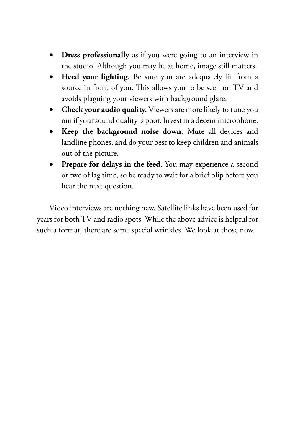- **Dress professionally** as if you were going to an interview in the studio. Although you may be at home, image still matters.
- **Heed your lighting**. Be sure you are adequately lit from a source in front of you. This allows you to be seen on TV and avoids plaguing your viewers with background glare.
- **Check your audio quality.** Viewers are more likely to tune you out if your sound quality is poor. Invest in a decent microphone.
- **Keep the background noise down**. Mute all devices and landline phones, and do your best to keep children and animals out of the picture.
- **• Prepare for delays in the feed**. You may experience a second or two of lag time, so be ready to wait for a brief blip before you hear the next question.

Video interviews are nothing new. Satellite links have been used for years for both TV and radio spots. While the above advice is helpful for such a format, there are some special wrinkles. We look at those now.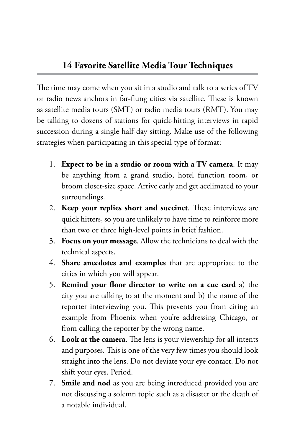The time may come when you sit in a studio and talk to a series of TV or radio news anchors in far-flung cities via satellite. These is known as satellite media tours (SMT) or radio media tours (RMT). You may be talking to dozens of stations for quick-hitting interviews in rapid succession during a single half-day sitting. Make use of the following strategies when participating in this special type of format:

- 1. **Expect to be in a studio or room with a TV camera**. It may be anything from a grand studio, hotel function room, or broom closet-size space. Arrive early and get acclimated to your surroundings.
- 2. **Keep your replies short and succinct**. These interviews are quick hitters, so you are unlikely to have time to reinforce more than two or three high-level points in brief fashion.
- 3. **Focus on your message**. Allow the technicians to deal with the technical aspects.
- 4. **Share anecdotes and examples** that are appropriate to the cities in which you will appear.
- 5. **Remind your floor director to write on a cue card** a) the city you are talking to at the moment and b) the name of the reporter interviewing you. This prevents you from citing an example from Phoenix when you're addressing Chicago, or from calling the reporter by the wrong name.
- 6. **Look at the camera**. The lens is your viewership for all intents and purposes. This is one of the very few times you should look straight into the lens. Do not deviate your eye contact. Do not shift your eyes. Period.
- 7. **Smile and nod** as you are being introduced provided you are not discussing a solemn topic such as a disaster or the death of a notable individual.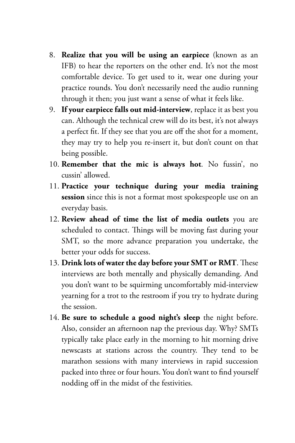- 8. **Realize that you will be using an earpiece** (known as an IFB) to hear the reporters on the other end. It's not the most comfortable device. To get used to it, wear one during your practice rounds. You don't necessarily need the audio running through it then; you just want a sense of what it feels like.
- 9. **If your earpiece falls out mid-interview**, replace it as best you can. Although the technical crew will do its best, it's not always a perfect fit. If they see that you are off the shot for a moment, they may try to help you re-insert it, but don't count on that being possible.
- 10. **Remember that the mic is always hot**. No fussin', no cussin' allowed.
- 11. **Practice your technique during your media training session** since this is not a format most spokespeople use on an everyday basis.
- 12. **Review ahead of time the list of media outlets** you are scheduled to contact. Things will be moving fast during your SMT, so the more advance preparation you undertake, the better your odds for success.
- 13. **Drink lots of water the day before your SMT or RMT**. These interviews are both mentally and physically demanding. And you don't want to be squirming uncomfortably mid-interview yearning for a trot to the restroom if you try to hydrate during the session.
- 14. **Be sure to schedule a good night's sleep** the night before. Also, consider an afternoon nap the previous day. Why? SMTs typically take place early in the morning to hit morning drive newscasts at stations across the country. They tend to be marathon sessions with many interviews in rapid succession packed into three or four hours. You don't want to find yourself nodding off in the midst of the festivities.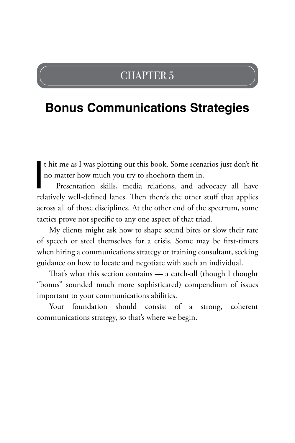### CHAPTER 5

## **Bonus Communications Strategies**

t hit me as I was plotting out this book. Some scenarios just don't fit no matter how much you try to shoehorn them in.

t hit me as I was plotting out this book. Some scenarios just don't fit<br>no matter how much you try to shoehorn them in.<br>Presentation skills, media relations, and advocacy all have<br>relatively well-defined lanes. Then there' Presentation skills, media relations, and advocacy all have across all of those disciplines. At the other end of the spectrum, some tactics prove not specific to any one aspect of that triad.

My clients might ask how to shape sound bites or slow their rate of speech or steel themselves for a crisis. Some may be first-timers when hiring a communications strategy or training consultant, seeking guidance on how to locate and negotiate with such an individual.

That's what this section contains — a catch-all (though I thought "bonus" sounded much more sophisticated) compendium of issues important to your communications abilities.

Your foundation should consist of a strong, coherent communications strategy, so that's where we begin.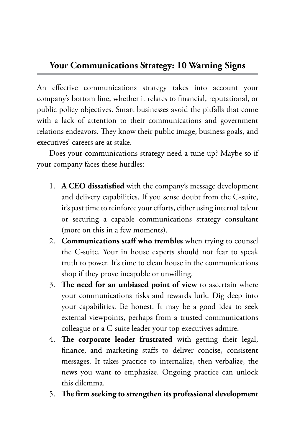#### **Your Communications Strategy: 10 Warning Signs**

An effective communications strategy takes into account your company's bottom line, whether it relates to financial, reputational, or public policy objectives. Smart businesses avoid the pitfalls that come with a lack of attention to their communications and government relations endeavors. They know their public image, business goals, and executives' careers are at stake.

Does your communications strategy need a tune up? Maybe so if your company faces these hurdles:

- 1. **A CEO dissatisfied** with the company's message development and delivery capabilities. If you sense doubt from the C-suite, it's past time to reinforce your efforts, either using internal talent or securing a capable communications strategy consultant (more on this in a few moments).
- 2. **Communications staff who trembles** when trying to counsel the C-suite. Your in house experts should not fear to speak truth to power. It's time to clean house in the communications shop if they prove incapable or unwilling.
- 3. **The need for an unbiased point of view** to ascertain where your communications risks and rewards lurk. Dig deep into your capabilities. Be honest. It may be a good idea to seek external viewpoints, perhaps from a trusted communications colleague or a C-suite leader your top executives admire.
- 4. **The corporate leader frustrated** with getting their legal, finance, and marketing staffs to deliver concise, consistent messages. It takes practice to internalize, then verbalize, the news you want to emphasize. Ongoing practice can unlock this dilemma.
- 5. **The firm seeking to strengthen its professional development**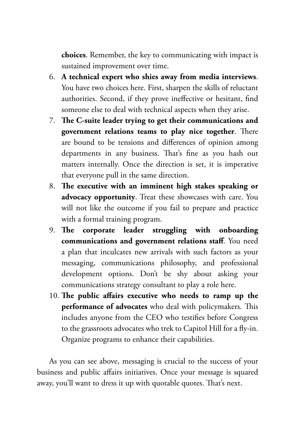**choices**. Remember, the key to communicating with impact is sustained improvement over time.

- 6. **A technical expert who shies away from media interviews**. You have two choices here. First, sharpen the skills of reluctant authorities. Second, if they prove ineffective or hesitant, find someone else to deal with technical aspects when they arise.
- 7. **The C-suite leader trying to get their communications and government relations teams to play nice together**. There are bound to be tensions and differences of opinion among departments in any business. That's fine as you hash out matters internally. Once the direction is set, it is imperative that everyone pull in the same direction.
- 8. **The executive with an imminent high stakes speaking or advocacy opportunity**. Treat these showcases with care. You will not like the outcome if you fail to prepare and practice with a formal training program.
- 9. **The corporate leader struggling with onboarding communications and government relations staff**. You need a plan that inculcates new arrivals with such factors as your messaging, communications philosophy, and professional development options. Don't be shy about asking your communications strategy consultant to play a role here.
- 10. **The public affairs executive who needs to ramp up the performance of advocates** who deal with policymakers. This includes anyone from the CEO who testifies before Congress to the grassroots advocates who trek to Capitol Hill for a fly-in. Organize programs to enhance their capabilities.

As you can see above, messaging is crucial to the success of your business and public affairs initiatives. Once your message is squared away, you'll want to dress it up with quotable quotes. That's next.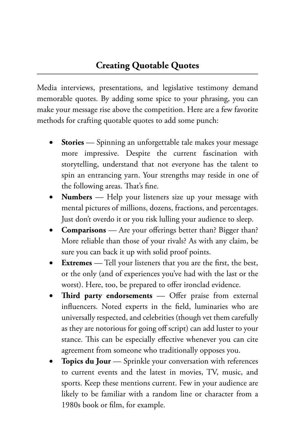Media interviews, presentations, and legislative testimony demand memorable quotes. By adding some spice to your phrasing, you can make your message rise above the competition. Here are a few favorite methods for crafting quotable quotes to add some punch:

- **Stories** Spinning an unforgettable tale makes your message more impressive. Despite the current fascination with storytelling, understand that not everyone has the talent to spin an entrancing yarn. Your strengths may reside in one of the following areas. That's fine.
- **Numbers** Help your listeners size up your message with mental pictures of millions, dozens, fractions, and percentages. Just don't overdo it or you risk lulling your audience to sleep.
- **Comparisons** Are your offerings better than? Bigger than? More reliable than those of your rivals? As with any claim, be sure you can back it up with solid proof points.
- **Extremes** Tell your listeners that you are the first, the best, or the only (and of experiences you've had with the last or the worst). Here, too, be prepared to offer ironclad evidence.
- • **Third party endorsements** Offer praise from external influencers. Noted experts in the field, luminaries who are universally respected, and celebrities (though vet them carefully as they are notorious for going off script) can add luster to your stance. This can be especially effective whenever you can cite agreement from someone who traditionally opposes you.
- Topics du Jour Sprinkle your conversation with references to current events and the latest in movies, TV, music, and sports. Keep these mentions current. Few in your audience are likely to be familiar with a random line or character from a 1980s book or film, for example.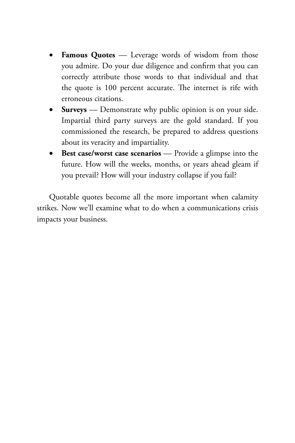- • **Famous Quotes** Leverage words of wisdom from those you admire. Do your due diligence and confirm that you can correctly attribute those words to that individual and that the quote is 100 percent accurate. The internet is rife with erroneous citations.
- **Surveys** Demonstrate why public opinion is on your side. Impartial third party surveys are the gold standard. If you commissioned the research, be prepared to address questions about its veracity and impartiality.
- • **Best case/worst case scenarios** Provide a glimpse into the future. How will the weeks, months, or years ahead gleam if you prevail? How will your industry collapse if you fail?

Quotable quotes become all the more important when calamity strikes. Now we'll examine what to do when a communications crisis impacts your business.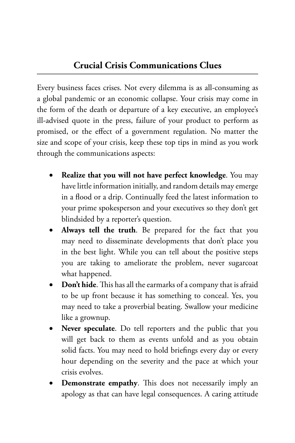Every business faces crises. Not every dilemma is as all-consuming as a global pandemic or an economic collapse. Your crisis may come in the form of the death or departure of a key executive, an employee's ill-advised quote in the press, failure of your product to perform as promised, or the effect of a government regulation. No matter the size and scope of your crisis, keep these top tips in mind as you work through the communications aspects:

- **Realize that you will not have perfect knowledge**. You may have little information initially, and random details may emerge in a flood or a drip. Continually feed the latest information to your prime spokesperson and your executives so they don't get blindsided by a reporter's question.
- **Always tell the truth**. Be prepared for the fact that you may need to disseminate developments that don't place you in the best light. While you can tell about the positive steps you are taking to ameliorate the problem, never sugarcoat what happened.
- • **Don't hide**. This has all the earmarks of a company that is afraid to be up front because it has something to conceal. Yes, you may need to take a proverbial beating. Swallow your medicine like a grownup.
- Never speculate. Do tell reporters and the public that you will get back to them as events unfold and as you obtain solid facts. You may need to hold briefings every day or every hour depending on the severity and the pace at which your crisis evolves.
- **Demonstrate empathy**. This does not necessarily imply an apology as that can have legal consequences. A caring attitude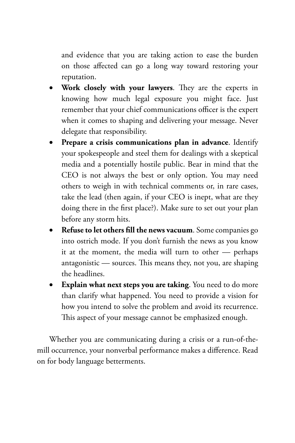and evidence that you are taking action to ease the burden on those affected can go a long way toward restoring your reputation.

- • **Work closely with your lawyers**. They are the experts in knowing how much legal exposure you might face. Just remember that your chief communications officer is the expert when it comes to shaping and delivering your message. Never delegate that responsibility.
- • **Prepare a crisis communications plan in advance**. Identify your spokespeople and steel them for dealings with a skeptical media and a potentially hostile public. Bear in mind that the CEO is not always the best or only option. You may need others to weigh in with technical comments or, in rare cases, take the lead (then again, if your CEO is inept, what are they doing there in the first place?). Make sure to set out your plan before any storm hits.
- • **Refuse to let others fill the news vacuum**. Some companies go into ostrich mode. If you don't furnish the news as you know it at the moment, the media will turn to other — perhaps antagonistic — sources. This means they, not you, are shaping the headlines.
- • **Explain what next steps you are taking**. You need to do more than clarify what happened. You need to provide a vision for how you intend to solve the problem and avoid its recurrence. This aspect of your message cannot be emphasized enough.

Whether you are communicating during a crisis or a run-of-themill occurrence, your nonverbal performance makes a difference. Read on for body language betterments.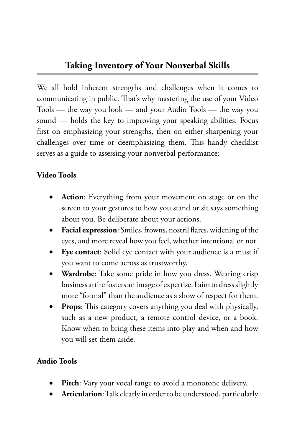We all hold inherent strengths and challenges when it comes to communicating in public. That's why mastering the use of your Video Tools — the way you look — and your Audio Tools — the way you sound — holds the key to improving your speaking abilities. Focus first on emphasizing your strengths, then on either sharpening your challenges over time or deemphasizing them. This handy checklist serves as a guide to assessing your nonverbal performance:

#### **Video Tools**

- Action: Everything from your movement on stage or on the screen to your gestures to how you stand or sit says something about you. Be deliberate about your actions.
- **Facial expression:** Smiles, frowns, nostril flares, widening of the eyes, and more reveal how you feel, whether intentional or not.
- • **Eye contact**: Solid eye contact with your audience is a must if you want to come across as trustworthy.
- • **Wardrobe**: Take some pride in how you dress. Wearing crisp business attire fosters an image of expertise. I aim to dress slightly more "formal" than the audience as a show of respect for them.
- • **Props**: This category covers anything you deal with physically, such as a new product, a remote control device, or a book. Know when to bring these items into play and when and how you will set them aside.

#### **Audio Tools**

- Pitch: Vary your vocal range to avoid a monotone delivery.
- Articulation: Talk clearly in order to be understood, particularly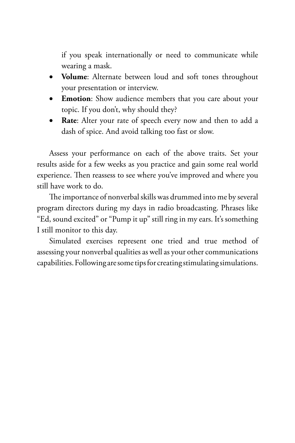if you speak internationally or need to communicate while wearing a mask.

- • **Volume**: Alternate between loud and soft tones throughout your presentation or interview.
- **Emotion**: Show audience members that you care about your topic. If you don't, why should they?
- • **Rate**: Alter your rate of speech every now and then to add a dash of spice. And avoid talking too fast or slow.

Assess your performance on each of the above traits. Set your results aside for a few weeks as you practice and gain some real world experience. Then reassess to see where you've improved and where you still have work to do.

The importance of nonverbal skills was drummed into me by several program directors during my days in radio broadcasting. Phrases like "Ed, sound excited" or "Pump it up" still ring in my ears. It's something I still monitor to this day.

Simulated exercises represent one tried and true method of assessing your nonverbal qualities as well as your other communications capabilities. Following are some tips for creating stimulating simulations.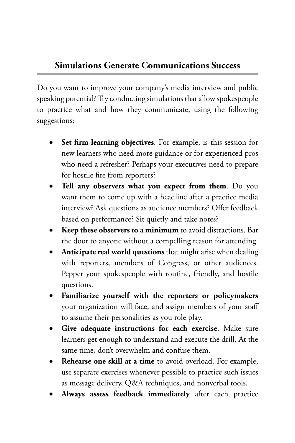#### **Simulations Generate Communications Success**

Do you want to improve your company's media interview and public speaking potential? Try conducting simulations that allow spokespeople to practice what and how they communicate, using the following suggestions:

- Set firm learning objectives. For example, is this session for new learners who need more guidance or for experienced pros who need a refresher? Perhaps your executives need to prepare for hostile fire from reporters?
- Tell any observers what you expect from them. Do you want them to come up with a headline after a practice media interview? Ask questions as audience members? Offer feedback based on performance? Sit quietly and take notes?
- • **Keep these observers to a minimum** to avoid distractions. Bar the door to anyone without a compelling reason for attending.
- Anticipate real world questions that might arise when dealing with reporters, members of Congress, or other audiences. Pepper your spokespeople with routine, friendly, and hostile questions.
- • **Familiarize yourself with the reporters or policymakers** your organization will face, and assign members of your staff to assume their personalities as you role play.
- Give adequate instructions for each exercise. Make sure learners get enough to understand and execute the drill. At the same time, don't overwhelm and confuse them.
- **Rehearse one skill at a time** to avoid overload. For example, use separate exercises whenever possible to practice such issues as message delivery, Q&A techniques, and nonverbal tools.
- Always assess feedback immediately after each practice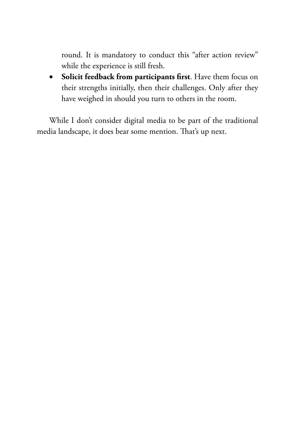round. It is mandatory to conduct this "after action review" while the experience is still fresh.

• **Solicit feedback from participants first**. Have them focus on their strengths initially, then their challenges. Only after they have weighed in should you turn to others in the room.

While I don't consider digital media to be part of the traditional media landscape, it does bear some mention. That's up next.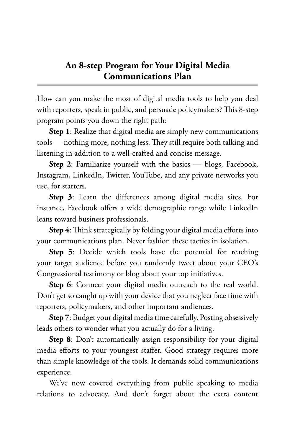#### **An 8-step Program for Your Digital Media Communications Plan**

How can you make the most of digital media tools to help you deal with reporters, speak in public, and persuade policymakers? This 8-step program points you down the right path:

**Step 1**: Realize that digital media are simply new communications tools — nothing more, nothing less. They still require both talking and listening in addition to a well-crafted and concise message.

**Step 2**: Familiarize yourself with the basics — blogs, Facebook, Instagram, LinkedIn, Twitter, YouTube, and any private networks you use, for starters.

**Step 3**: Learn the differences among digital media sites. For instance, Facebook offers a wide demographic range while LinkedIn leans toward business professionals.

**Step 4**: Think strategically by folding your digital media efforts into your communications plan. Never fashion these tactics in isolation.

**Step 5**: Decide which tools have the potential for reaching your target audience before you randomly tweet about your CEO's Congressional testimony or blog about your top initiatives.

**Step 6**: Connect your digital media outreach to the real world. Don't get so caught up with your device that you neglect face time with reporters, policymakers, and other important audiences.

**Step 7**: Budget your digital media time carefully. Posting obsessively leads others to wonder what you actually do for a living.

**Step 8**: Don't automatically assign responsibility for your digital media efforts to your youngest staffer. Good strategy requires more than simple knowledge of the tools. It demands solid communications experience.

We've now covered everything from public speaking to media relations to advocacy. And don't forget about the extra content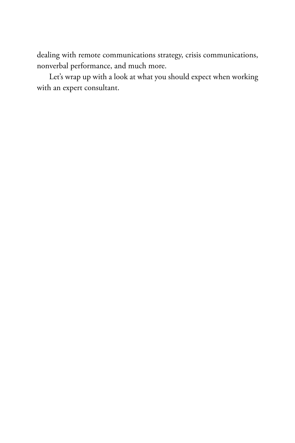dealing with remote communications strategy, crisis communications, nonverbal performance, and much more.

Let's wrap up with a look at what you should expect when working with an expert consultant.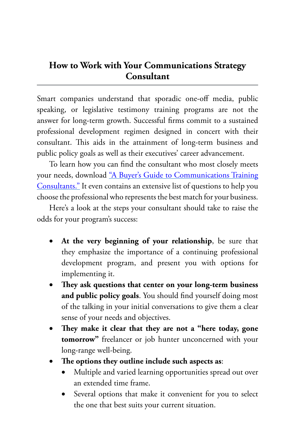#### **How to Work with Your Communications Strategy Consultant**

Smart companies understand that sporadic one-off media, public speaking, or legislative testimony training programs are not the answer for long-term growth. Successful firms commit to a sustained professional development regimen designed in concert with their consultant. This aids in the attainment of long-term business and public policy goals as well as their executives' career advancement.

To learn how you can find the consultant who most closely meets your needs, download ["A Buyer's Guide to Communications Training](https://www.barkscomm.com/wp-content/uploads/2021/02/Buyers-Guide-to-Communications-Strategy-Consultants.pdf) [Consultants."](https://www.barkscomm.com/wp-content/uploads/2021/02/Buyers-Guide-to-Communications-Strategy-Consultants.pdf) It even contains an extensive list of questions to help you choose the professional who represents the best match for your business.

Here's a look at the steps your consultant should take to raise the odds for your program's success:

- • **At the very beginning of your relationship**, be sure that they emphasize the importance of a continuing professional development program, and present you with options for implementing it.
- • **They ask questions that center on your long-term business and public policy goals**. You should find yourself doing most of the talking in your initial conversations to give them a clear sense of your needs and objectives.
- They make it clear that they are not a "here today, gone **tomorrow"** freelancer or job hunter unconcerned with your long-range well-being.
- The options they outline include such aspects as:
	- Multiple and varied learning opportunities spread out over an extended time frame.
	- Several options that make it convenient for you to select the one that best suits your current situation.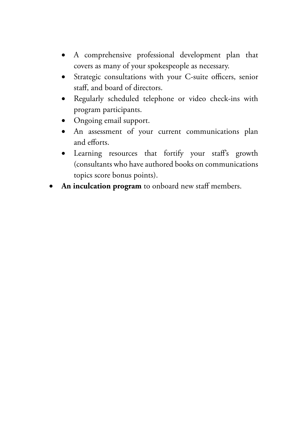- • A comprehensive professional development plan that covers as many of your spokespeople as necessary.
- • Strategic consultations with your C-suite officers, senior staff, and board of directors.
- • Regularly scheduled telephone or video check-ins with program participants.
- Ongoing email support.
- An assessment of your current communications plan and efforts.
- Learning resources that fortify your staff's growth (consultants who have authored books on communications topics score bonus points).
- An inculcation program to onboard new staff members.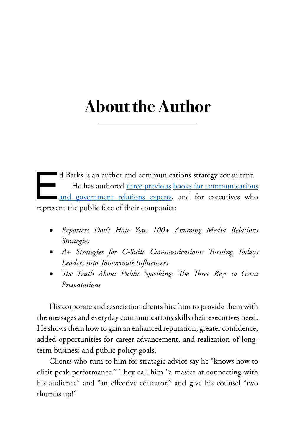# **About the Author**

d Barks is an author and communications strategy consultant.<br>He has authored <u>three previous books for communications</u><br>and government relations experts, and for executives who<br>represent the public face of their companies: He has authored [three previous](http://www.barkscomm.com/eds-books) [books for communications](http://www.barkscomm.com/eds-books) [and government relations experts](http://www.barkscomm.com/eds-books), and for executives who represent the public face of their companies:

- • *Reporters Don't Hate You: 100+ Amazing Media Relations Strategies*
- • *A+ Strategies for C-Suite Communications: Turning Today's Leaders into Tomorrow's Influencers*
- The Truth About Public Speaking: The Three Keys to Great *Presentations*

His corporate and association clients hire him to provide them with the messages and everyday communications skills their executives need. He shows them how to gain an enhanced reputation, greater confidence, added opportunities for career advancement, and realization of longterm business and public policy goals.

Clients who turn to him for strategic advice say he "knows how to elicit peak performance." They call him "a master at connecting with his audience" and "an effective educator," and give his counsel "two thumbs up!"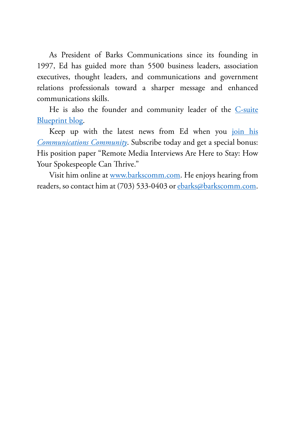As President of Barks Communications since its founding in 1997, Ed has guided more than 5500 business leaders, association executives, thought leaders, and communications and government relations professionals toward a sharper message and enhanced communications skills.

He is also the founder and community leader of the [C-suite](http://bit.ly/CsuiteBlueprint) [Blueprint blog](http://bit.ly/CsuiteBlueprint).

Keep up with the latest news from Ed when you [join his](https://bit.ly/CommsCommunityRemoteInterviews) *[Communications Community](https://bit.ly/CommsCommunityRemoteInterviews)*. Subscribe today and get a special bonus: His position paper "Remote Media Interviews Are Here to Stay: How Your Spokespeople Can Thrive."

Visit him online at [www.barkscomm.com.](http://www.barkscomm.com) He enjoys hearing from readers, so contact him at (703) 533-0403 or [ebarks@barkscomm.com](mailto:ebarks@barkscomm.com).